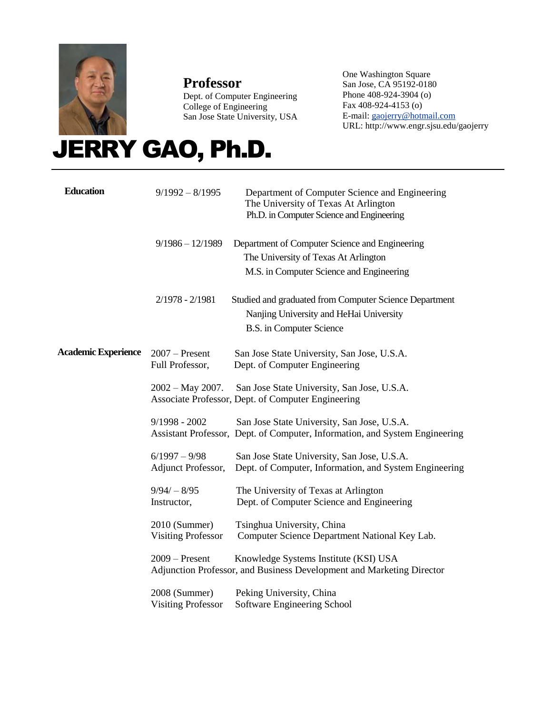

# **Professor**

Dept. of Computer Engineering College of Engineering San Jose State University, USA

One Washington Square San Jose, CA 95192-0180 Phone 408-924-3904 (o) Fax 408-924-4153 (o) E-mail[: gaojerry@hotmail.com](mailto:gaojerry@hotmail.com) URL: http://www.engr.sjsu.edu/gaojerry

# JERRY GAO, Ph.D.

| <b>Education</b>           | $9/1992 - 8/1995$                          | Department of Computer Science and Engineering<br>The University of Texas At Arlington<br>Ph.D. in Computer Science and Engineering  |
|----------------------------|--------------------------------------------|--------------------------------------------------------------------------------------------------------------------------------------|
|                            | $9/1986 - 12/1989$                         | Department of Computer Science and Engineering<br>The University of Texas At Arlington<br>M.S. in Computer Science and Engineering   |
|                            | $2/1978 - 2/1981$                          | Studied and graduated from Computer Science Department<br>Nanjing University and HeHai University<br><b>B.S.</b> in Computer Science |
| <b>Academic Experience</b> | $2007$ – Present<br>Full Professor,        | San Jose State University, San Jose, U.S.A.<br>Dept. of Computer Engineering                                                         |
|                            | $2002 - May 2007.$                         | San Jose State University, San Jose, U.S.A.<br>Associate Professor, Dept. of Computer Engineering                                    |
|                            | $9/1998 - 2002$                            | San Jose State University, San Jose, U.S.A.<br>Assistant Professor, Dept. of Computer, Information, and System Engineering           |
|                            | $6/1997 - 9/98$<br>Adjunct Professor,      | San Jose State University, San Jose, U.S.A.<br>Dept. of Computer, Information, and System Engineering                                |
|                            | $9/94/ - 8/95$<br>Instructor,              | The University of Texas at Arlington<br>Dept. of Computer Science and Engineering                                                    |
|                            | 2010 (Summer)<br><b>Visiting Professor</b> | Tsinghua University, China<br>Computer Science Department National Key Lab.                                                          |
|                            | $2009 -$ Present                           | Knowledge Systems Institute (KSI) USA<br>Adjunction Professor, and Business Development and Marketing Director                       |
|                            | 2008 (Summer)<br><b>Visiting Professor</b> | Peking University, China<br>Software Engineering School                                                                              |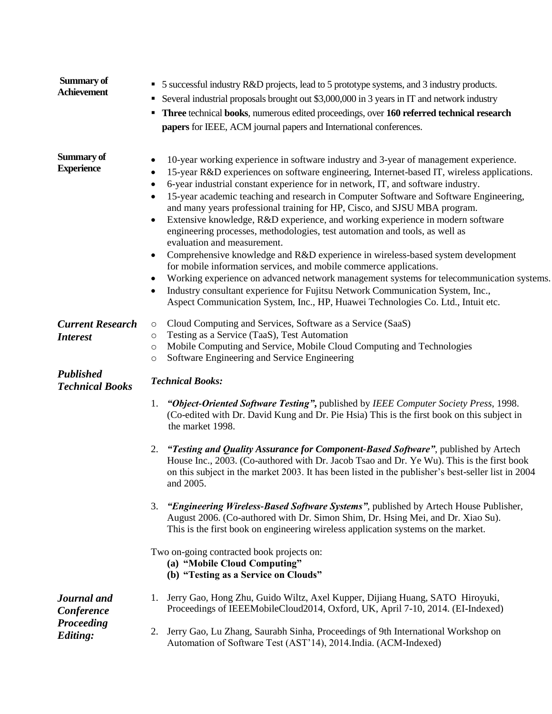| Summary of<br><b>Achievement</b>           | 5 successful industry R&D projects, lead to 5 prototype systems, and 3 industry products.<br>٠<br>Several industrial proposals brought out \$3,000,000 in 3 years in IT and network industry<br>٠<br>Three technical books, numerous edited proceedings, over 160 referred technical research<br>٠<br>papers for IEEE, ACM journal papers and International conferences.                                                                                                                                                                                                                                                                                                                                                                                                                                                                                                                                                                                                                                                                                                                                                                                |
|--------------------------------------------|---------------------------------------------------------------------------------------------------------------------------------------------------------------------------------------------------------------------------------------------------------------------------------------------------------------------------------------------------------------------------------------------------------------------------------------------------------------------------------------------------------------------------------------------------------------------------------------------------------------------------------------------------------------------------------------------------------------------------------------------------------------------------------------------------------------------------------------------------------------------------------------------------------------------------------------------------------------------------------------------------------------------------------------------------------------------------------------------------------------------------------------------------------|
| Summary of<br><b>Experience</b>            | 10-year working experience in software industry and 3-year of management experience.<br>$\bullet$<br>15-year R&D experiences on software engineering, Internet-based IT, wireless applications.<br>$\bullet$<br>6-year industrial constant experience for in network, IT, and software industry.<br>٠<br>15-year academic teaching and research in Computer Software and Software Engineering,<br>٠<br>and many years professional training for HP, Cisco, and SJSU MBA program.<br>Extensive knowledge, R&D experience, and working experience in modern software<br>$\bullet$<br>engineering processes, methodologies, test automation and tools, as well as<br>evaluation and measurement.<br>Comprehensive knowledge and R&D experience in wireless-based system development<br>$\bullet$<br>for mobile information services, and mobile commerce applications.<br>Working experience on advanced network management systems for telecommunication systems.<br>$\bullet$<br>Industry consultant experience for Fujitsu Network Communication System, Inc.,<br>٠<br>Aspect Communication System, Inc., HP, Huawei Technologies Co. Ltd., Intuit etc. |
| <b>Current Research</b><br><b>Interest</b> | Cloud Computing and Services, Software as a Service (SaaS)<br>$\circ$<br>Testing as a Service (TaaS), Test Automation<br>$\circ$<br>Mobile Computing and Service, Mobile Cloud Computing and Technologies<br>$\circ$<br>Software Engineering and Service Engineering<br>$\circ$                                                                                                                                                                                                                                                                                                                                                                                                                                                                                                                                                                                                                                                                                                                                                                                                                                                                         |
| <b>Published</b><br><b>Technical Books</b> | <b>Technical Books:</b>                                                                                                                                                                                                                                                                                                                                                                                                                                                                                                                                                                                                                                                                                                                                                                                                                                                                                                                                                                                                                                                                                                                                 |
|                                            | "Object-Oriented Software Testing", published by IEEE Computer Society Press, 1998.<br>1.<br>(Co-edited with Dr. David Kung and Dr. Pie Hsia) This is the first book on this subject in<br>the market 1998.                                                                                                                                                                                                                                                                                                                                                                                                                                                                                                                                                                                                                                                                                                                                                                                                                                                                                                                                             |
|                                            | "Testing and Quality Assurance for Component-Based Software", published by Artech<br>2.<br>House Inc., 2003. (Co-authored with Dr. Jacob Tsao and Dr. Ye Wu). This is the first book<br>on this subject in the market 2003. It has been listed in the publisher's best-seller list in 2004<br>and 2005.                                                                                                                                                                                                                                                                                                                                                                                                                                                                                                                                                                                                                                                                                                                                                                                                                                                 |
|                                            | 3.<br>"Engineering Wireless-Based Software Systems", published by Artech House Publisher,<br>August 2006. (Co-authored with Dr. Simon Shim, Dr. Hsing Mei, and Dr. Xiao Su).<br>This is the first book on engineering wireless application systems on the market.                                                                                                                                                                                                                                                                                                                                                                                                                                                                                                                                                                                                                                                                                                                                                                                                                                                                                       |
|                                            | Two on-going contracted book projects on:<br>(a) "Mobile Cloud Computing"<br>(b) "Testing as a Service on Clouds"                                                                                                                                                                                                                                                                                                                                                                                                                                                                                                                                                                                                                                                                                                                                                                                                                                                                                                                                                                                                                                       |
| Journal and<br>Conference                  | Jerry Gao, Hong Zhu, Guido Wiltz, Axel Kupper, Dijiang Huang, SATO Hiroyuki,<br>1.<br>Proceedings of IEEEMobileCloud2014, Oxford, UK, April 7-10, 2014. (EI-Indexed)                                                                                                                                                                                                                                                                                                                                                                                                                                                                                                                                                                                                                                                                                                                                                                                                                                                                                                                                                                                    |
| Proceeding<br><b>Editing:</b>              | Jerry Gao, Lu Zhang, Saurabh Sinha, Proceedings of 9th International Workshop on<br>2.<br>Automation of Software Test (AST'14), 2014.India. (ACM-Indexed)                                                                                                                                                                                                                                                                                                                                                                                                                                                                                                                                                                                                                                                                                                                                                                                                                                                                                                                                                                                               |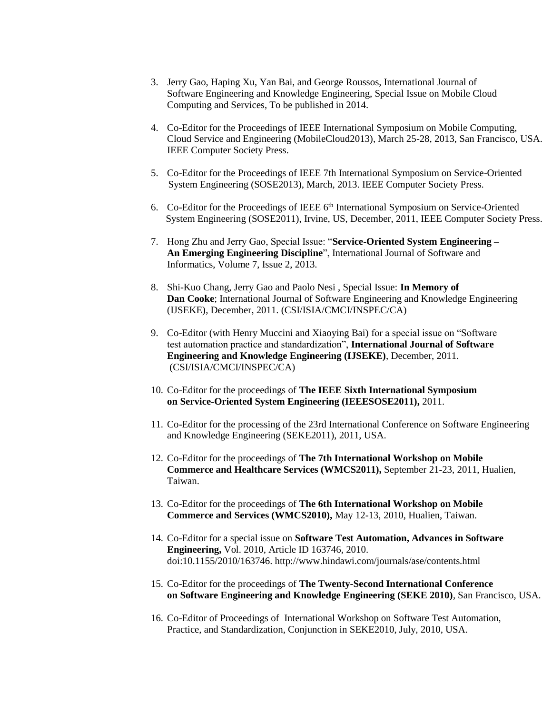- 3. Jerry Gao, Haping Xu, Yan Bai, and George Roussos, International Journal of Software Engineering and Knowledge Engineering, Special Issue on Mobile Cloud Computing and Services, To be published in 2014.
- 4. Co-Editor for the Proceedings of IEEE International Symposium on Mobile Computing, Cloud Service and Engineering (MobileCloud2013), March 25-28, 2013, San Francisco, USA. IEEE Computer Society Press.
- 5. Co-Editor for the Proceedings of IEEE 7th International Symposium on Service-Oriented System Engineering (SOSE2013), March, 2013. IEEE Computer Society Press.
- 6. Co-Editor for the Proceedings of IEEE 6<sup>th</sup> International Symposium on Service-Oriented System Engineering (SOSE2011), Irvine, US, December, 2011, IEEE Computer Society Press.
- 7. Hong Zhu and Jerry Gao, Special Issue: "**Service-Oriented System Engineering – An Emerging Engineering Discipline**", International Journal of Software and Informatics, Volume 7, Issue 2, 2013.
- 8. Shi-Kuo Chang, Jerry Gao and Paolo Nesi , Special Issue: **In Memory of Dan Cooke**; International Journal of Software Engineering and Knowledge Engineering (IJSEKE), December, 2011. (CSI/ISIA/CMCI/INSPEC/CA)
- 9. Co-Editor (with Henry Muccini and Xiaoying Bai) for a special issue on "Software test automation practice and standardization", **International Journal of Software Engineering and Knowledge Engineering (IJSEKE)**, December, 2011. (CSI/ISIA/CMCI/INSPEC/CA)
- 10. Co-Editor for the proceedings of **The IEEE Sixth International Symposium on Service-Oriented System Engineering (IEEESOSE2011),** 2011.
- 11. Co-Editor for the processing of the 23rd International Conference on Software Engineering and Knowledge Engineering (SEKE2011), 2011, USA.
- 12. Co-Editor for the proceedings of **The 7th International Workshop on Mobile Commerce and Healthcare Services (WMCS2011),** September 21-23, 2011, Hualien, Taiwan.
- 13. Co-Editor for the proceedings of **The 6th International Workshop on Mobile Commerce and Services (WMCS2010),** May 12-13, 2010, Hualien, Taiwan.
- 14. Co-Editor for a special issue on **Software Test Automation, Advances in Software Engineering,** Vol. 2010, Article ID 163746, 2010. doi:10.1155/2010/163746. http://www.hindawi.com/journals/ase/contents.html
- 15. Co-Editor for the proceedings of **The Twenty-Second International Conference on Software Engineering and Knowledge Engineering (SEKE 2010)**, San Francisco, USA.
- 16. Co-Editor of Proceedings of International Workshop on Software Test Automation, Practice, and Standardization, Conjunction in SEKE2010, July, 2010, USA.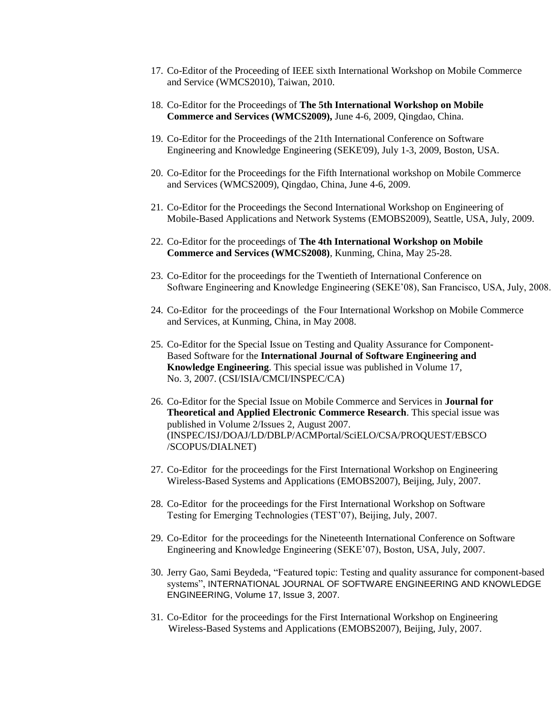- 17. Co-Editor of the Proceeding of IEEE sixth International Workshop on Mobile Commerce and Service (WMCS2010), Taiwan, 2010.
- 18. Co-Editor for the Proceedings of **The 5th International Workshop on Mobile Commerce and Services (WMCS2009),** June 4-6, 2009, Qingdao, China.
- 19. Co-Editor for the Proceedings of the 21th International Conference on Software Engineering and Knowledge Engineering (SEKE'09), July 1-3, 2009, Boston, USA.
- 20. Co-Editor for the Proceedings for the Fifth International workshop on Mobile Commerce and Services (WMCS2009), Qingdao, China, June 4-6, 2009.
- 21. Co-Editor for the Proceedings the Second International Workshop on Engineering of Mobile-Based Applications and Network Systems (EMOBS2009), Seattle, USA, July, 2009.
- 22. Co-Editor for the proceedings of **The 4th International Workshop on Mobile Commerce and Services (WMCS2008)**, Kunming, China, May 25-28.
- 23. Co-Editor for the proceedings for the Twentieth of International Conference on Software Engineering and Knowledge Engineering (SEKE'08), San Francisco, USA, July, 2008.
- 24. Co-Editor for the proceedings of the Four International Workshop on Mobile Commerce and Services, at Kunming, China, in May 2008.
- 25. Co-Editor for the Special Issue on Testing and Quality Assurance for Component-Based Software for the **International Journal of Software Engineering and Knowledge Engineering**. This special issue was published in Volume 17, No. 3, 2007. (CSI/ISIA/CMCI/INSPEC/CA)
- 26. Co-Editor for the Special Issue on Mobile Commerce and Services in **Journal for Theoretical and Applied Electronic Commerce Research**. This special issue was published in Volume 2/Issues 2, August 2007. (INSPEC/ISJ/DOAJ/LD/DBLP/ACMPortal/SciELO/CSA/PROQUEST/EBSCO /SCOPUS/DIALNET)
- 27. Co-Editor for the proceedings for the First International Workshop on Engineering Wireless-Based Systems and Applications (EMOBS2007), Beijing, July, 2007.
- 28. Co-Editor for the proceedings for the First International Workshop on Software Testing for Emerging Technologies (TEST'07), Beijing, July, 2007.
- 29. Co-Editor for the proceedings for the Nineteenth International Conference on Software Engineering and Knowledge Engineering (SEKE'07), Boston, USA, July, 2007.
- 30. Jerry Gao, Sami Beydeda, "Featured topic: Testing and quality assurance for component-based systems", INTERNATIONAL JOURNAL OF SOFTWARE ENGINEERING AND KNOWLEDGE ENGINEERING, Volume 17, Issue 3, 2007.
- 31. Co-Editor for the proceedings for the First International Workshop on Engineering Wireless-Based Systems and Applications (EMOBS2007), Beijing, July, 2007.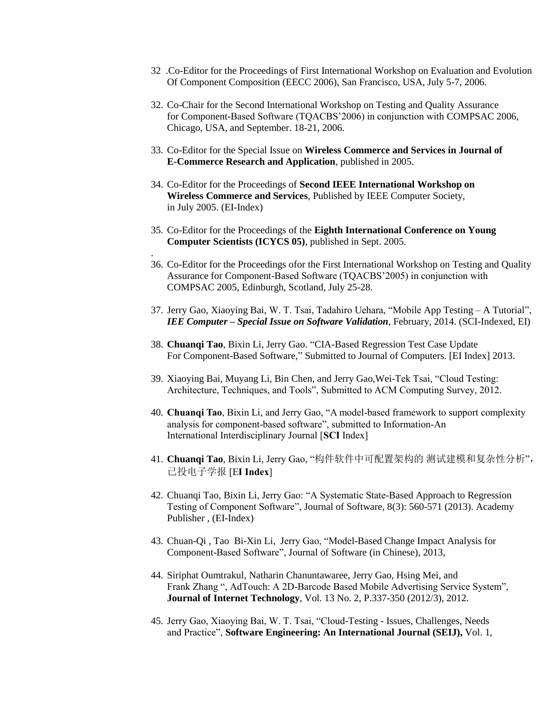- 32 .Co-Editor for the Proceedings of First International Workshop on Evaluation and Evolution Of Component Composition (EECC 2006), San Francisco, USA, July 5-7, 2006.
- 32. Co-Chair for the Second International Workshop on Testing and Quality Assurance for Component-Based Software (TQACBS'2006) in conjunction with COMPSAC 2006, Chicago, USA, and September. 18-21, 2006.
- 33. Co-Editor for the Special Issue on **Wireless Commerce and Services in Journal of E-Commerce Research and Application**, published in 2005.
- 34. Co-Editor for the Proceedings of **Second IEEE International Workshop on Wireless Commerce and Services**, Published by IEEE Computer Society, in July 2005. (EI-Index)

.

- 35. Co-Editor for the Proceedings of the **Eighth International Conference on Young Computer Scientists (ICYCS 05)**, published in Sept. 2005.
- 36. Co-Editor for the Proceedings ofor the First International Workshop on Testing and Quality Assurance for Component-Based Software (TQACBS'2005) in conjunction with COMPSAC 2005, Edinburgh, Scotland, July 25-28.
- 37. Jerry Gao, Xiaoying Bai, W. T. Tsai, Tadahiro Uehara, "Mobile App Testing A Tutorial", *IEE Computer – Special Issue on Software Validation*, February, 2014. (SCI-Indexed, EI)
- 38. **Chuanqi Tao**, Bixin Li, Jerry Gao. "CIA-Based Regression Test Case Update For Component-Based Software," Submitted to Journal of Computers. [EI Index] 2013.
- 39. Xiaoying Bai, Muyang Li, Bin Chen, and Jerry Gao,Wei-Tek Tsai, "Cloud Testing: Architecture, Techniques, and Tools", Submitted to ACM Computing Survey, 2012.
- 40. **Chuanqi Tao**, Bixin Li, and Jerry Gao, "A model-based framework to support complexity analysis for component-based software", submitted to Information-An International Interdisciplinary Journal [**SCI** Index]
- 41. **Chuanqi Tao**, Bixin Li, Jerry Gao, "构件软件中可配置架构的 测试建模和复杂性分析", 已投电子学报 [E**I Index**]
- 42. [Chuanqi Tao,](http://www.informatik.uni-trier.de/~ley/pers/hd/t/Tao:Chuanqi.html) [Bixin Li,](http://www.informatik.uni-trier.de/~ley/pers/hd/l/Li:Bixin.html) Jerry Gao: "A Systematic State-Based Approach to Regression Testing of Component Software", [Journal of Software, 8\(](http://www.informatik.uni-trier.de/~ley/db/journals/jsw/jsw8.html#TaoLG13)3): 560-571 (2013). Academy Publisher , (EI-Index)
- 43. Chuan-Qi , Tao Bi-Xin Li, Jerry Gao, "Model-Based Change Impact Analysis for Component-Based Software", Journal of Software (in Chinese), 2013,
- 44. Siriphat Oumtrakul, Natharin Chanuntawaree, Jerry Gao, Hsing Mei, and Frank Zhang ", AdTouch: A 2D-Barcode Based Mobile Advertising Service System", **Journal of Internet Technology**, Vol. 13 No. 2, P.337-350 (2012/3), 2012.
- 45. Jerry Gao, Xiaoying Bai, W. T. Tsai, "Cloud-Testing Issues, Challenges, Needs and Practice", **Software Engineering: An International Journal (SEIJ),** Vol. 1,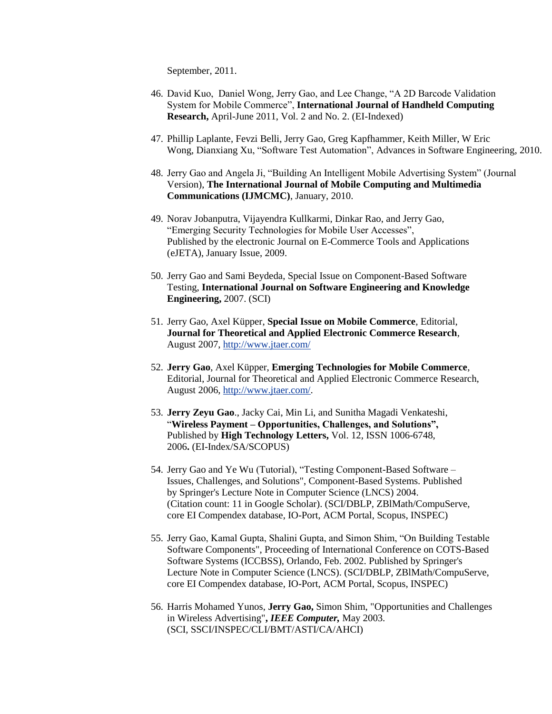September, 2011.

- 46. David Kuo, Daniel Wong, Jerry Gao, and Lee Change, "A 2D Barcode Validation System for Mobile Commerce", **International Journal of Handheld Computing Research,** April-June 2011, Vol. 2 and No. 2. (EI-Indexed)
- 47. Phillip Laplante, Fevzi Belli, Jerry Gao, Greg Kapfhammer, Keith Miller, W Eric Wong, Dianxiang Xu, "Software Test Automation", Advances in Software Engineering, 2010.
- 48. Jerry Gao and Angela Ji, "Building An Intelligent Mobile Advertising System" (Journal Version), **The International Journal of Mobile Computing and Multimedia Communications (IJMCMC)**, January, 2010.
- 49. Norav Jobanputra, Vijayendra Kullkarmi, Dinkar Rao, and Jerry Gao, "Emerging Security Technologies for Mobile User Accesses", Published by the electronic Journal on E-Commerce Tools and Applications (eJETA), January Issue, 2009.
- 50. Jerry Gao and Sami Beydeda, Special Issue on Component-Based Software Testing, **International Journal on Software Engineering and Knowledge Engineering,** 2007. (SCI)
- 51. Jerry Gao, Axel Küpper, **Special Issue on Mobile Commerce**, Editorial, **Journal for Theoretical and Applied Electronic Commerce Research**, August 2007,<http://www.jtaer.com/>
- 52. **Jerry Gao**, Axel Küpper, **Emerging Technologies for Mobile Commerce**, Editorial, Journal for Theoretical and Applied Electronic Commerce Research, August 2006, [http://www.jtaer.com/.](http://www.jtaer.com/)
- 53. **Jerry Zeyu Gao**., Jacky Cai, Min Li, and Sunitha Magadi Venkateshi, "**Wireless Payment – Opportunities, Challenges, and Solutions",**  Published by **High Technology Letters,** Vol. 12, ISSN 1006-6748, 2006**.** (EI-Index/SA/SCOPUS)
- 54. Jerry Gao and Ye Wu (Tutorial), "Testing Component-Based Software Issues, Challenges, and Solutions", Component-Based Systems. Published by Springer's Lecture Note in Computer Science (LNCS) 2004. (Citation count: 11 in Google Scholar). (SCI/DBLP, ZBlMath/CompuServe, core EI Compendex database, IO-Port, ACM Portal, Scopus, INSPEC)
- 55. Jerry Gao, Kamal Gupta, Shalini Gupta, and Simon Shim, "On Building Testable Software Components", Proceeding of International Conference on COTS-Based Software Systems (ICCBSS), Orlando, Feb. 2002. Published by Springer's Lecture Note in Computer Science (LNCS). (SCI/DBLP, ZBlMath/CompuServe, core EI Compendex database, IO-Port, ACM Portal, Scopus, INSPEC)
- 56. Harris Mohamed Yunos, **Jerry Gao,** Simon Shim, "Opportunities and Challenges in Wireless Advertising"**,** *IEEE Computer,* May 2003. (SCI, SSCI/INSPEC/CLI/BMT/ASTI/CA/AHCI)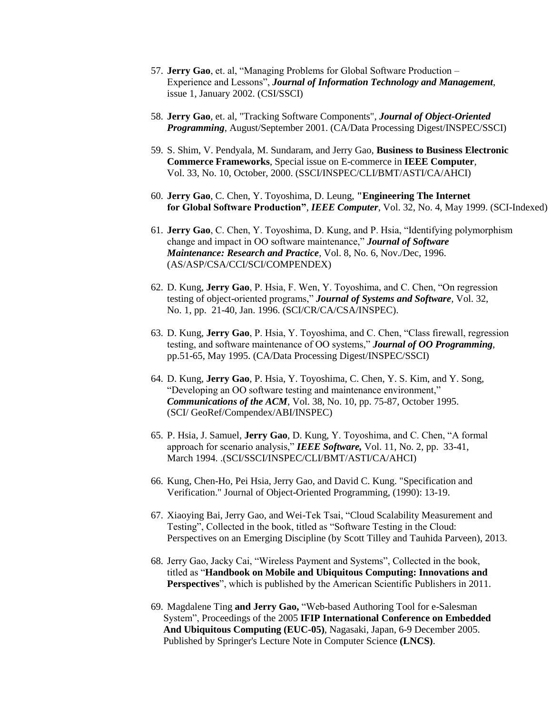- 57. **Jerry Gao**, et. al, "Managing Problems for Global Software Production Experience and Lessons", *Journal of Information Technology and Management*, issue 1, January 2002. (CSI/SSCI)
- 58. **Jerry Gao**, et. al, "Tracking Software Components", *Journal of Object-Oriented Programming*, August/September 2001. (CA/Data Processing Digest/INSPEC/SSCI)
- 59. S. Shim, V. Pendyala, M. Sundaram, and Jerry Gao, **Business to Business Electronic Commerce Frameworks**, Special issue on E-commerce in **IEEE Computer**, Vol. 33, No. 10, October, 2000. (SSCI/INSPEC/CLI/BMT/ASTI/CA/AHCI)
- 60. **Jerry Gao**, C. Chen, Y. Toyoshima, D. Leung, **"Engineering The Internet for Global Software Production"**, *IEEE Computer*, Vol. 32, No. 4, May 1999. (SCI-Indexed)
- 61. **Jerry Gao**, C. Chen, Y. Toyoshima, D. Kung, and P. Hsia, "Identifying polymorphism change and impact in OO software maintenance," *Journal of Software Maintenance: Research and Practice*, Vol. 8, No. 6, Nov./Dec, 1996. (AS/ASP/CSA/CCI/SCI/COMPENDEX)
- 62. D. Kung, **Jerry Gao**, P. Hsia, F. Wen, Y. Toyoshima, and C. Chen, "On regression testing of object-oriented programs," *Journal of Systems and Software*, Vol. 32, No. 1, pp. 21-40, Jan. 1996. (SCI/CR/CA/CSA/INSPEC).
- 63. D. Kung, **Jerry Gao**, P. Hsia, Y. Toyoshima, and C. Chen, "Class firewall, regression testing, and software maintenance of OO systems," *Journal of OO Programming*, pp.51-65, May 1995. (CA/Data Processing Digest/INSPEC/SSCI)
- 64. D. Kung, **Jerry Gao**, P. Hsia, Y. Toyoshima, C. Chen, Y. S. Kim, and Y. Song, "Developing an OO software testing and maintenance environment," *Communications of the ACM*, Vol. 38, No. 10, pp. 75-87, October 1995. (SCI/ GeoRef/Compendex/ABI/INSPEC)
- 65. P. Hsia, J. Samuel, **Jerry Gao**, D. Kung, Y. Toyoshima, and C. Chen, "A formal approach for scenario analysis," *IEEE Software,* Vol. 11, No. 2, pp. 33-41, March 1994. .(SCI/SSCI/INSPEC/CLI/BMT/ASTI/CA/AHCI)
- 66. Kung, Chen-Ho, Pei Hsia, Jerry Gao, and David C. Kung. "Specification and Verification." Journal of Object-Oriented Programming, (1990): 13-19.
- 67. Xiaoying Bai, Jerry Gao, and Wei-Tek Tsai, "Cloud Scalability Measurement and Testing", Collected in the book, titled as "Software Testing in the Cloud: Perspectives on an Emerging Discipline (by Scott Tilley and Tauhida Parveen), 2013.
- 68. Jerry Gao, Jacky Cai, "Wireless Payment and Systems", Collected in the book, titled as "**Handbook on Mobile and Ubiquitous Computing: Innovations and Perspectives**", which is published by the American Scientific Publishers in 2011.
- 69. Magdalene Ting **and Jerry Gao,** "Web-based Authoring Tool for e-Salesman System", Proceedings of the 2005 **IFIP International Conference on Embedded And Ubiquitous Computing (EUC-05)**, Nagasaki, Japan, 6-9 December 2005. Published by Springer's Lecture Note in Computer Science **(LNCS)**.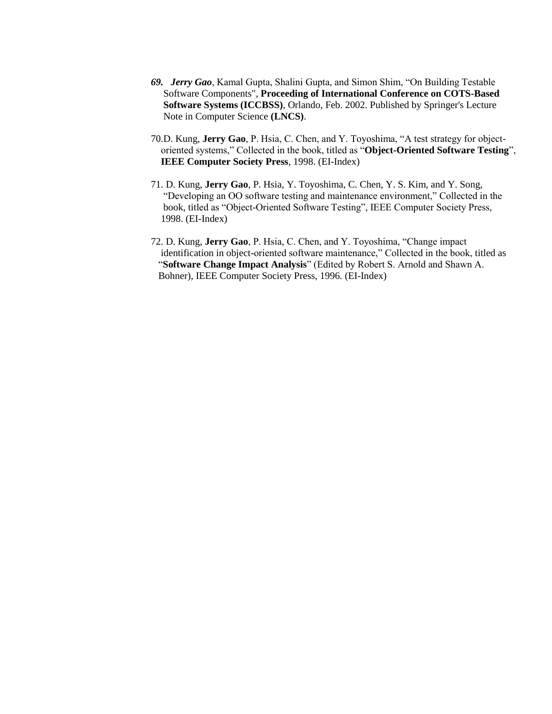- *69. Jerry Gao*, Kamal Gupta, Shalini Gupta, and Simon Shim, "On Building Testable Software Components", **Proceeding of International Conference on COTS-Based Software Systems (ICCBSS)**, Orlando, Feb. 2002. Published by Springer's Lecture Note in Computer Science **(LNCS)**.
- 70.D. Kung, **Jerry Gao**, P. Hsia, C. Chen, and Y. Toyoshima, "A test strategy for object oriented systems," Collected in the book, titled as "**Object-Oriented Software Testing**",  **IEEE Computer Society Press**, 1998. (EI-Index)
- 71. D. Kung, **Jerry Gao**, P. Hsia, Y. Toyoshima, C. Chen, Y. S. Kim, and Y. Song, "Developing an OO software testing and maintenance environment," Collected in the book, titled as "Object-Oriented Software Testing", IEEE Computer Society Press, 1998. (EI-Index)
- 72. D. Kung, **Jerry Gao**, P. Hsia, C. Chen, and Y. Toyoshima, "Change impact identification in object-oriented software maintenance," Collected in the book, titled as "**Software Change Impact Analysis**" (Edited by Robert S. Arnold and Shawn A. Bohner), IEEE Computer Society Press, 1996. (EI-Index)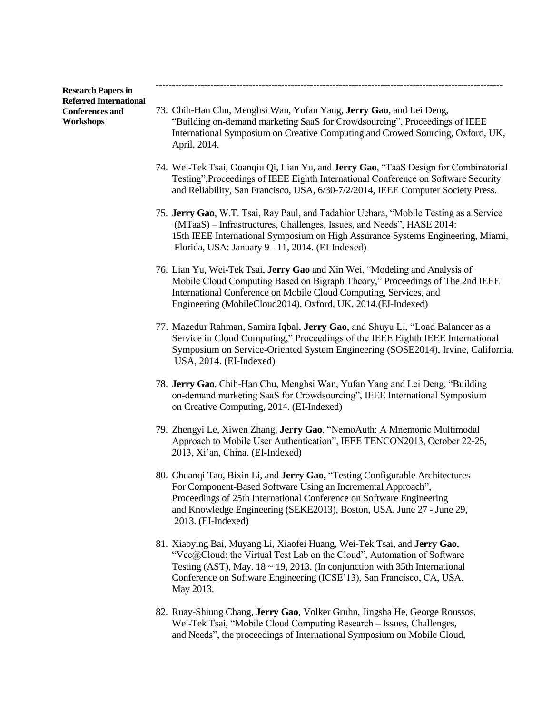**Research Papers in Referred International Conferences and Workshops**

73. Chih-Han Chu, Menghsi Wan, Yufan Yang, **Jerry Gao**, and Lei Deng, "Building on-demand marketing SaaS for Crowdsourcing", Proceedings of IEEE International Symposium on Creative Computing and Crowed Sourcing, Oxford, UK, April, 2014.

**------------------------------------------------------------------------------------------------------------**

- 74. Wei-Tek Tsai, Guanqiu Qi, Lian Yu, and **Jerry Gao**, "TaaS Design for Combinatorial Testing",Proceedings of IEEE Eighth International Conference on Software Security and Reliability, San Francisco, USA, 6/30-7/2/2014, IEEE Computer Society Press.
- 75. **Jerry Gao**, W.T. Tsai, Ray Paul, and Tadahior Uehara, "Mobile Testing as a Service (MTaaS) – Infrastructures, Challenges, Issues, and Needs", HASE 2014: 15th IEEE International Symposium on High Assurance Systems Engineering, Miami, Florida, USA: January 9 - 11, 2014. (EI-Indexed)
- 76. Lian Yu, Wei-Tek Tsai, **Jerry Gao** and Xin Wei, "Modeling and Analysis of Mobile Cloud Computing Based on Bigraph Theory," Proceedings of The 2nd IEEE International Conference on Mobile Cloud Computing, Services, and Engineering (MobileCloud2014), Oxford, UK, 2014.(EI-Indexed)
- 77. Mazedur Rahman, Samira Iqbal, **Jerry Gao**, and Shuyu Li, "Load Balancer as a Service in Cloud Computing," Proceedings of the IEEE Eighth IEEE International Symposium on Service-Oriented System Engineering (SOSE2014), Irvine, California, USA, 2014. (EI-Indexed)
- 78. **Jerry Gao**, Chih-Han Chu, Menghsi Wan, Yufan Yang and Lei Deng, "Building on-demand marketing SaaS for Crowdsourcing", IEEE International Symposium on Creative Computing, 2014. (EI-Indexed)
- 79. Zhengyi Le, Xiwen Zhang, **Jerry Gao**, "NemoAuth: A Mnemonic Multimodal Approach to Mobile User Authentication", IEEE TENCON2013, October 22-25, 2013, Xi'an, China. (EI-Indexed)
- 80. Chuanqi Tao, Bixin Li, and **Jerry Gao,** "Testing Configurable Architectures For Component-Based Software Using an Incremental Approach", Proceedings of 25th International Conference on Software Engineering and Knowledge Engineering (SEKE2013), Boston, USA, June 27 - June 29, 2013. (EI-Indexed)
- 81. Xiaoying Bai, Muyang Li, Xiaofei Huang, Wei-Tek Tsai, and **Jerry Gao**, "Vee@Cloud: the Virtual Test Lab on the Cloud", Automation of Software Testing (AST), May.  $18 \sim 19$ , 2013. (In conjunction with 35th International Conference on Software Engineering (ICSE'13), San Francisco, CA, USA, May 2013.
- 82. Ruay-Shiung Chang, **Jerry Gao**, Volker Gruhn, Jingsha He, George Roussos, Wei-Tek Tsai, "Mobile Cloud Computing Research – Issues, Challenges, and Needs", the proceedings of International Symposium on Mobile Cloud,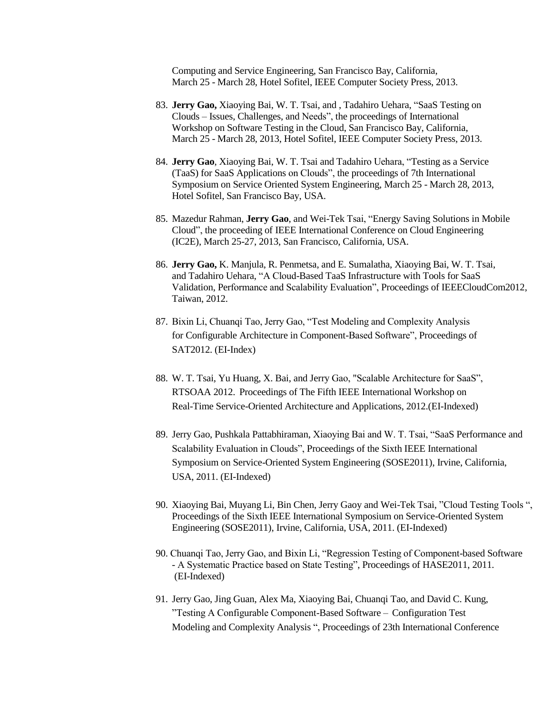Computing and Service Engineering, San Francisco Bay, California, March 25 - March 28, Hotel Sofitel, IEEE Computer Society Press, 2013.

- 83. **Jerry Gao,** Xiaoying Bai, W. T. Tsai, and , Tadahiro Uehara, "SaaS Testing on Clouds – Issues, Challenges, and Needs", the proceedings of International Workshop on Software Testing in the Cloud, San Francisco Bay, California, March 25 - March 28, 2013, Hotel Sofitel, IEEE Computer Society Press, 2013.
- 84. **Jerry Gao**, Xiaoying Bai, W. T. Tsai and Tadahiro Uehara, "Testing as a Service (TaaS) for SaaS Applications on Clouds", the proceedings of 7th International Symposium on Service Oriented System Engineering, March 25 - March 28, 2013, Hotel Sofitel, San Francisco Bay, USA.
- 85. Mazedur Rahman, **Jerry Gao**, and Wei-Tek Tsai, "Energy Saving Solutions in Mobile Cloud", the proceeding of IEEE International Conference on Cloud Engineering (IC2E), March 25-27, 2013, San Francisco, California, USA.
- 86. **Jerry Gao,** K. Manjula, R. Penmetsa, and E. Sumalatha, Xiaoying Bai, W. T. Tsai, and Tadahiro Uehara, "A Cloud-Based TaaS Infrastructure with Tools for SaaS Validation, Performance and Scalability Evaluation", Proceedings of IEEECloudCom2012, Taiwan, 2012.
- 87. Bixin Li, Chuanqi Tao, Jerry Gao, "Test Modeling and Complexity Analysis for Configurable Architecture in Component-Based Software", Proceedings of SAT2012. (EI-Index)
- 88. W. T. Tsai, Yu Huang, X. Bai, and Jerry Gao, "Scalable Architecture for SaaS", RTSOAA 2012. Proceedings of The Fifth IEEE International Workshop on Real-Time Service-Oriented Architecture and Applications, 2012.(EI-Indexed)
- 89. Jerry Gao, Pushkala Pattabhiraman, Xiaoying Bai and W. T. Tsai, "SaaS Performance and Scalability Evaluation in Clouds", Proceedings of the Sixth IEEE International Symposium on Service-Oriented System Engineering (SOSE2011), Irvine, California, USA, 2011. (EI-Indexed)
- 90. Xiaoying Bai, Muyang Li, Bin Chen, Jerry Gaoy and Wei-Tek Tsai, "Cloud Testing Tools ", Proceedings of the Sixth IEEE International Symposium on Service-Oriented System Engineering (SOSE2011), Irvine, California, USA, 2011. (EI-Indexed)
- 90. Chuanqi Tao, Jerry Gao, and Bixin Li, "Regression Testing of Component-based Software - A Systematic Practice based on State Testing", Proceedings of HASE2011, 2011. (EI-Indexed)
- 91. Jerry Gao, Jing Guan, Alex Ma, Xiaoying Bai, Chuanqi Tao, and David C. Kung, "Testing A Configurable Component-Based Software – Configuration Test Modeling and Complexity Analysis ", Proceedings of 23th International Conference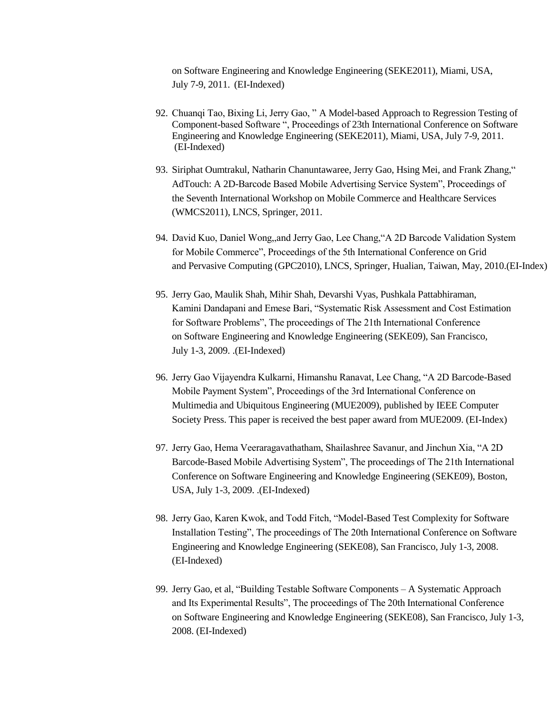on Software Engineering and Knowledge Engineering (SEKE2011), Miami, USA, July 7-9, 2011. (EI-Indexed)

- 92. Chuanqi Tao, Bixing Li, Jerry Gao, " A Model-based Approach to Regression Testing of Component-based Software ", Proceedings of 23th International Conference on Software Engineering and Knowledge Engineering (SEKE2011), Miami, USA, July 7-9, 2011. (EI-Indexed)
- 93. Siriphat Oumtrakul, Natharin Chanuntawaree, Jerry Gao, Hsing Mei, and Frank Zhang," AdTouch: A 2D-Barcode Based Mobile Advertising Service System", Proceedings of the Seventh International Workshop on Mobile Commerce and Healthcare Services (WMCS2011), LNCS, Springer, 2011.
- 94. David Kuo, Daniel Wong,,and Jerry Gao, Lee Chang,"A 2D Barcode Validation System for Mobile Commerce", Proceedings of the 5th International Conference on Grid and Pervasive Computing (GPC2010), LNCS, Springer, Hualian, Taiwan, May, 2010.(EI-Index)
- 95. Jerry Gao, Maulik Shah, Mihir Shah, Devarshi Vyas, Pushkala Pattabhiraman, Kamini Dandapani and Emese Bari, "Systematic Risk Assessment and Cost Estimation for Software Problems", The proceedings of The 21th International Conference on Software Engineering and Knowledge Engineering (SEKE09), San Francisco, July 1-3, 2009. .(EI-Indexed)
- 96. Jerry Gao Vijayendra Kulkarni, Himanshu Ranavat, Lee Chang, "A 2D Barcode-Based Mobile Payment System", Proceedings of the 3rd International Conference on Multimedia and Ubiquitous Engineering (MUE2009), published by IEEE Computer Society Press. This paper is received the best paper award from MUE2009. (EI-Index)
- 97. Jerry Gao, Hema Veeraragavathatham, Shailashree Savanur, and Jinchun Xia, "A 2D Barcode-Based Mobile Advertising System", The proceedings of The 21th International Conference on Software Engineering and Knowledge Engineering (SEKE09), Boston, USA, July 1-3, 2009. .(EI-Indexed)
- 98. Jerry Gao, Karen Kwok, and Todd Fitch, "Model-Based Test Complexity for Software Installation Testing", The proceedings of The 20th International Conference on Software Engineering and Knowledge Engineering (SEKE08), San Francisco, July 1-3, 2008. (EI-Indexed)
- 99. Jerry Gao, et al, "Building Testable Software Components A Systematic Approach and Its Experimental Results", The proceedings of The 20th International Conference on Software Engineering and Knowledge Engineering (SEKE08), San Francisco, July 1-3, 2008. (EI-Indexed)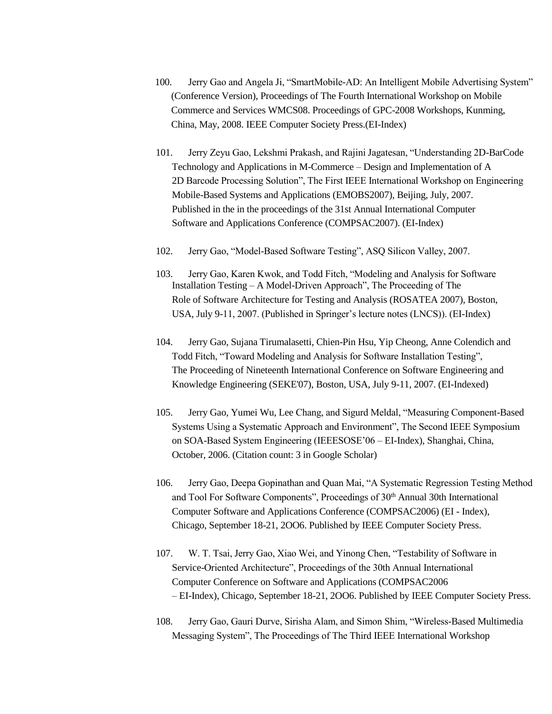- 100. Jerry Gao and Angela Ji, "SmartMobile-AD: An Intelligent Mobile Advertising System" (Conference Version), Proceedings of The Fourth International Workshop on Mobile Commerce and Services WMCS08. Proceedings of GPC-2008 Workshops, Kunming, China, May, 2008. IEEE Computer Society Press.(EI-Index)
- 101. Jerry Zeyu Gao, Lekshmi Prakash, and Rajini Jagatesan, "Understanding 2D-BarCode Technology and Applications in M-Commerce – Design and Implementation of A 2D Barcode Processing Solution", The First IEEE International Workshop on Engineering Mobile-Based Systems and Applications (EMOBS2007), Beijing, July, 2007. Published in the in the proceedings of the 31st Annual International Computer Software and Applications Conference (COMPSAC2007). (EI-Index)
- 102. Jerry Gao, "Model-Based Software Testing", ASQ Silicon Valley, 2007.
- 103. Jerry Gao, Karen Kwok, and Todd Fitch, "Modeling and Analysis for Software Installation Testing – A Model-Driven Approach", The Proceeding of The Role of Software Architecture for Testing and Analysis (ROSATEA 2007), Boston, USA, July 9-11, 2007. (Published in Springer's lecture notes (LNCS)). (EI-Index)
- 104. Jerry Gao, Sujana Tirumalasetti, Chien-Pin Hsu, Yip Cheong, Anne Colendich and Todd Fitch, "Toward Modeling and Analysis for Software Installation Testing", The Proceeding of Nineteenth International Conference on Software Engineering and Knowledge Engineering (SEKE'07), Boston, USA, July 9-11, 2007. (EI-Indexed)
- 105. Jerry Gao, Yumei Wu, Lee Chang, and Sigurd Meldal, "Measuring Component-Based Systems Using a Systematic Approach and Environment", The Second IEEE Symposium on SOA-Based System Engineering (IEEESOSE'06 – EI-Index), Shanghai, China, October, 2006. (Citation count: 3 in Google Scholar)
- 106. Jerry Gao, Deepa Gopinathan and Quan Mai, "A Systematic Regression Testing Method and Tool For Software Components", Proceedings of 30<sup>th</sup> Annual 30th International Computer Software and Applications Conference (COMPSAC2006) (EI - Index), Chicago, September 18-21, 2OO6. Published by IEEE Computer Society Press.
- 107. W. T. Tsai, Jerry Gao, Xiao Wei, and Yinong Chen, "Testability of Software in Service-Oriented Architecture", Proceedings of the 30th Annual International Computer Conference on Software and Applications (COMPSAC2006 – EI-Index), Chicago, September 18-21, 2OO6. Published by IEEE Computer Society Press.
- 108. Jerry Gao, Gauri Durve, Sirisha Alam, and Simon Shim, "Wireless-Based Multimedia Messaging System", The Proceedings of The Third IEEE International Workshop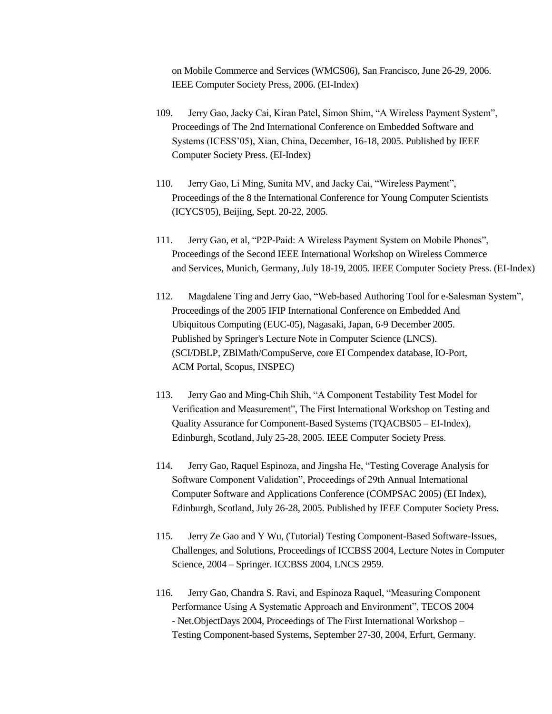on Mobile Commerce and Services (WMCS06), San Francisco, June 26-29, 2006. IEEE Computer Society Press, 2006. (EI-Index)

- 109. Jerry Gao, Jacky Cai, Kiran Patel, Simon Shim, "A Wireless Payment System", Proceedings of The 2nd International Conference on Embedded Software and Systems (ICESS'05), Xian, China, December, 16-18, 2005. Published by IEEE Computer Society Press. (EI-Index)
- 110. Jerry Gao, Li Ming, Sunita MV, and Jacky Cai, "Wireless Payment", Proceedings of the 8 the International Conference for Young Computer Scientists (ICYCS'05), Beijing, Sept. 20-22, 2005.
- 111. Jerry Gao, et al, "P2P-Paid: A Wireless Payment System on Mobile Phones", Proceedings of the Second IEEE International Workshop on Wireless Commerce and Services, Munich, Germany, July 18-19, 2005. IEEE Computer Society Press. (EI-Index)
- 112. Magdalene Ting and Jerry Gao, "Web-based Authoring Tool for e-Salesman System", Proceedings of the 2005 IFIP International Conference on Embedded And Ubiquitous Computing (EUC-05), Nagasaki, Japan, 6-9 December 2005. Published by Springer's Lecture Note in Computer Science (LNCS). (SCI/DBLP, ZBlMath/CompuServe, core EI Compendex database, IO-Port, ACM Portal, Scopus, INSPEC)
- 113. Jerry Gao and Ming-Chih Shih, "A Component Testability Test Model for Verification and Measurement", The First International Workshop on Testing and Quality Assurance for Component-Based Systems (TQACBS05 – EI-Index), Edinburgh, Scotland, July 25-28, 2005. IEEE Computer Society Press.
- 114. Jerry Gao, Raquel Espinoza, and Jingsha He, "Testing Coverage Analysis for Software Component Validation", Proceedings of 29th Annual International Computer Software and Applications Conference (COMPSAC 2005) (EI Index), Edinburgh, Scotland, July 26-28, 2005. Published by IEEE Computer Society Press.
- 115. Jerry Ze Gao and Y Wu, (Tutorial) Testing Component-Based Software-Issues, Challenges, and Solutions, Proceedings of ICCBSS 2004, Lecture Notes in Computer Science, 2004 – Springer. ICCBSS 2004, LNCS 2959.
- 116. Jerry Gao, Chandra S. Ravi, and Espinoza Raquel, "Measuring Component Performance Using A Systematic Approach and Environment", TECOS 2004 - Net.ObjectDays 2004, Proceedings of The First International Workshop – Testing Component-based Systems, September 27-30, 2004, Erfurt, Germany.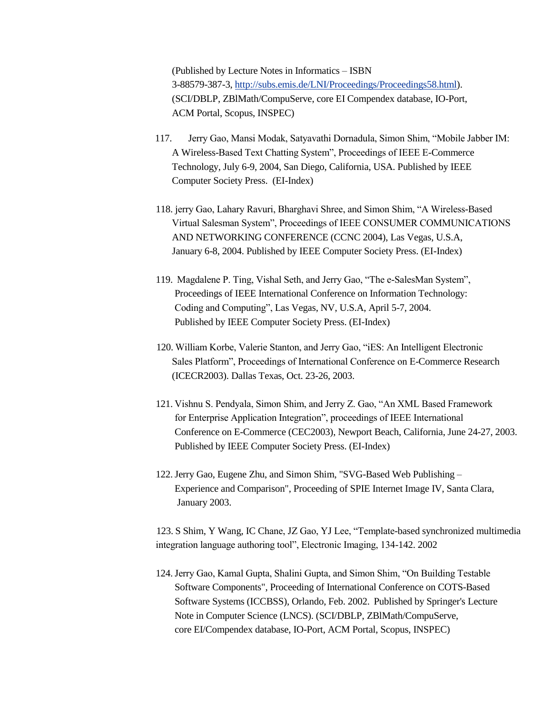(Published by Lecture Notes in Informatics – ISBN 3-88579-387-3, [http://subs.emis.de/LNI/Proceedings/Proceedings58.html\)](http://subs.emis.de/LNI/Proceedings/Proceedings58.html). (SCI/DBLP, ZBlMath/CompuServe, core EI Compendex database, IO-Port, ACM Portal, Scopus, INSPEC)

- 117. Jerry Gao, Mansi Modak, Satyavathi Dornadula, Simon Shim, "Mobile Jabber IM: A Wireless-Based Text Chatting System", Proceedings of IEEE E-Commerce Technology, July 6-9, 2004, San Diego, California, USA. Published by IEEE Computer Society Press. (EI-Index)
- 118. jerry Gao, Lahary Ravuri, Bharghavi Shree, and Simon Shim, "A Wireless-Based Virtual Salesman System", Proceedings of IEEE CONSUMER COMMUNICATIONS AND NETWORKING CONFERENCE (CCNC 2004), Las Vegas, U.S.A, January 6-8, 2004. Published by IEEE Computer Society Press. (EI-Index)
- 119. Magdalene P. Ting, Vishal Seth, and Jerry Gao, "The e-SalesMan System", Proceedings of IEEE International Conference on Information Technology: Coding and Computing", Las Vegas, NV, U.S.A, April 5-7, 2004. Published by IEEE Computer Society Press. (EI-Index)
- 120. William Korbe, Valerie Stanton, and Jerry Gao, "iES: An Intelligent Electronic Sales Platform", Proceedings of International Conference on E-Commerce Research (ICECR2003). Dallas Texas, Oct. 23-26, 2003.
- 121. Vishnu S. Pendyala, Simon Shim, and Jerry Z. Gao, "An XML Based Framework for Enterprise Application Integration", proceedings of IEEE International Conference on E-Commerce (CEC2003), Newport Beach, California, June 24-27, 2003. Published by IEEE Computer Society Press. (EI-Index)
- 122.Jerry Gao, Eugene Zhu, and Simon Shim, "SVG-Based Web Publishing Experience and Comparison", Proceeding of SPIE Internet Image IV, Santa Clara, January 2003.

123. S Shim, Y Wang, IC Chane, JZ Gao, YJ Lee, "Template-based synchronized multimedia integration language authoring tool", Electronic Imaging, 134-142. 2002

124.Jerry Gao, Kamal Gupta, Shalini Gupta, and Simon Shim, "On Building Testable Software Components", Proceeding of International Conference on COTS-Based Software Systems (ICCBSS), Orlando, Feb. 2002. Published by Springer's Lecture Note in Computer Science (LNCS). (SCI/DBLP, ZBlMath/CompuServe, core EI/Compendex database, IO-Port, ACM Portal, Scopus, INSPEC)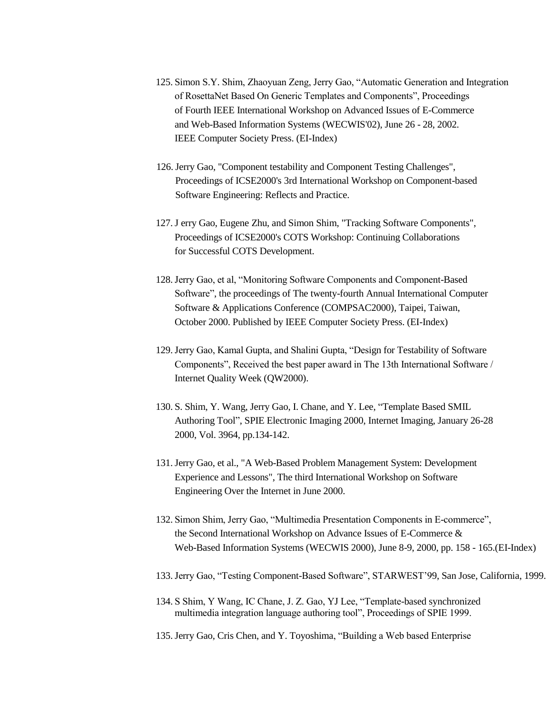- 125. Simon S.Y. Shim, Zhaoyuan Zeng, Jerry Gao, "Automatic Generation and Integration of RosettaNet Based On Generic Templates and Components", Proceedings of Fourth IEEE International Workshop on Advanced Issues of E-Commerce and Web-Based Information Systems (WECWIS'02), June 26 - 28, 2002. IEEE Computer Society Press. (EI-Index)
- 126.Jerry Gao, "Component testability and Component Testing Challenges", Proceedings of ICSE2000's 3rd International Workshop on Component-based Software Engineering: Reflects and Practice.
- 127.J erry Gao, Eugene Zhu, and Simon Shim, "Tracking Software Components", Proceedings of ICSE2000's COTS Workshop: Continuing Collaborations for Successful COTS Development.
- 128.Jerry Gao, et al, "Monitoring Software Components and Component-Based Software", the proceedings of The twenty-fourth Annual International Computer Software & Applications Conference (COMPSAC2000), Taipei, Taiwan, October 2000. Published by IEEE Computer Society Press. (EI-Index)
- 129.Jerry Gao, Kamal Gupta, and Shalini Gupta, "Design for Testability of Software Components", Received the best paper award in The 13th International Software / Internet Quality Week (QW2000).
- 130. S. Shim, Y. Wang, Jerry Gao, I. Chane, and Y. Lee, "Template Based SMIL Authoring Tool", SPIE Electronic Imaging 2000, Internet Imaging, January 26-28 2000, Vol. 3964, pp.134-142.
- 131.Jerry Gao, et al., "A Web-Based Problem Management System: Development Experience and Lessons", The third International Workshop on Software Engineering Over the Internet in June 2000.
- 132. Simon Shim, Jerry Gao, "Multimedia Presentation Components in E-commerce", the Second International Workshop on Advance Issues of E-Commerce & Web-Based Information Systems (WECWIS 2000), June 8-9, 2000, pp. 158 - 165.(EI-Index)
- 133.Jerry Gao, "Testing Component-Based Software", STARWEST'99, San Jose, California, 1999.
- 134. S Shim, Y Wang, IC Chane, J. Z. Gao, YJ Lee, "Template-based synchronized multimedia integration language authoring tool", Proceedings of SPIE 1999.
- 135.Jerry Gao, Cris Chen, and Y. Toyoshima, "Building a Web based Enterprise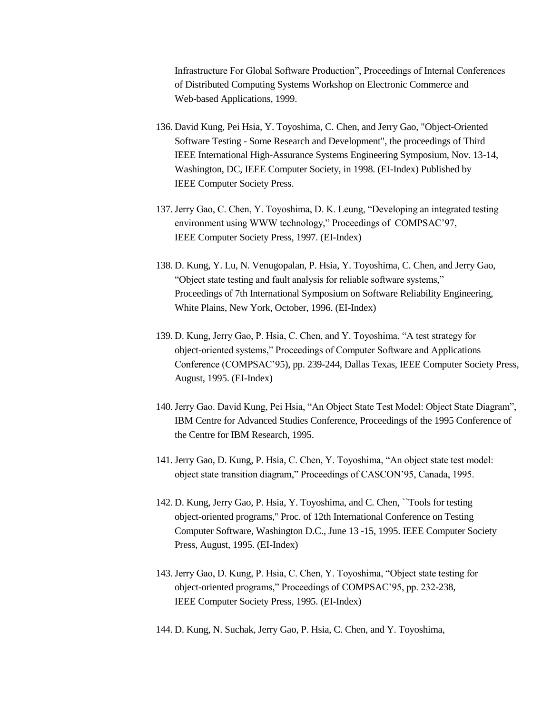Infrastructure For Global Software Production", Proceedings of Internal Conferences of Distributed Computing Systems Workshop on Electronic Commerce and Web-based Applications, 1999.

- 136. David Kung, Pei Hsia, Y. Toyoshima, C. Chen, and Jerry Gao, "Object-Oriented Software Testing - Some Research and Development", the proceedings of Third IEEE International High-Assurance Systems Engineering Symposium, Nov. 13-14, Washington, DC, IEEE Computer Society, in 1998. (EI-Index) Published by IEEE Computer Society Press.
- 137.Jerry Gao, C. Chen, Y. Toyoshima, D. K. Leung, "Developing an integrated testing environment using WWW technology," Proceedings of COMPSAC'97, IEEE Computer Society Press, 1997. (EI-Index)
- 138. D. Kung, Y. Lu, N. Venugopalan, P. Hsia, Y. Toyoshima, C. Chen, and Jerry Gao, "Object state testing and fault analysis for reliable software systems," Proceedings of 7th International Symposium on Software Reliability Engineering, White Plains, New York, October, 1996. (EI-Index)
- 139. D. Kung, Jerry Gao, P. Hsia, C. Chen, and Y. Toyoshima, "A test strategy for object-oriented systems," Proceedings of Computer Software and Applications Conference (COMPSAC'95), pp. 239-244, Dallas Texas, IEEE Computer Society Press, August, 1995. (EI-Index)
- 140.Jerry Gao. David Kung, Pei Hsia, "An Object State Test Model: Object State Diagram", IBM Centre for Advanced Studies Conference, Proceedings of the 1995 Conference of the Centre for IBM Research, 1995.
- 141.Jerry Gao, D. Kung, P. Hsia, C. Chen, Y. Toyoshima, "An object state test model: object state transition diagram," Proceedings of CASCON'95, Canada, 1995.
- 142. D. Kung, Jerry Gao, P. Hsia, Y. Toyoshima, and C. Chen, ``Tools for testing object-oriented programs,'' Proc. of 12th International Conference on Testing Computer Software, Washington D.C., June 13 -15, 1995. IEEE Computer Society Press, August, 1995. (EI-Index)
- 143.Jerry Gao, D. Kung, P. Hsia, C. Chen, Y. Toyoshima, "Object state testing for object-oriented programs," Proceedings of COMPSAC'95, pp. 232-238, IEEE Computer Society Press, 1995. (EI-Index)
- 144. D. Kung, N. Suchak, Jerry Gao, P. Hsia, C. Chen, and Y. Toyoshima,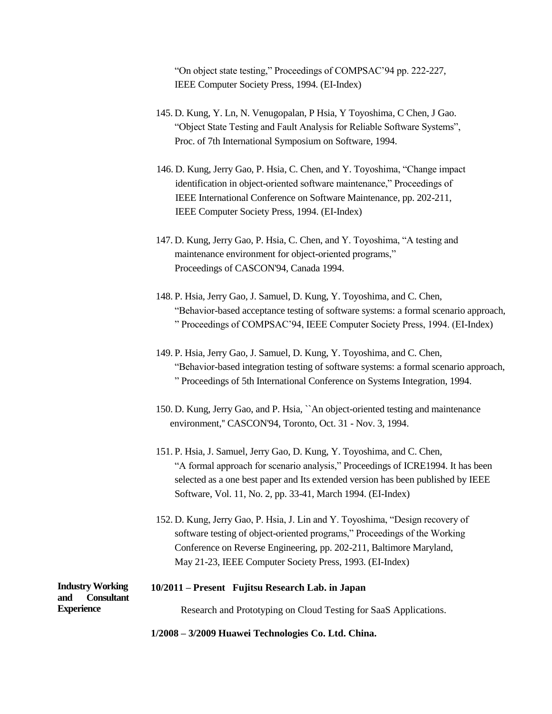"On object state testing," Proceedings of COMPSAC'94 pp. 222-227, IEEE Computer Society Press, 1994. (EI-Index)

- 145. D. Kung, Y. Ln, N. Venugopalan, P Hsia, Y Toyoshima, C Chen, J Gao. "Object State Testing and Fault Analysis for Reliable Software Systems", Proc. of 7th International Symposium on Software, 1994.
- 146. D. Kung, Jerry Gao, P. Hsia, C. Chen, and Y. Toyoshima, "Change impact identification in object-oriented software maintenance," Proceedings of IEEE International Conference on Software Maintenance, pp. 202-211, IEEE Computer Society Press, 1994. (EI-Index)
- 147. D. Kung, Jerry Gao, P. Hsia, C. Chen, and Y. Toyoshima, "A testing and maintenance environment for object-oriented programs," Proceedings of CASCON'94, Canada 1994.
- 148. P. Hsia, Jerry Gao, J. Samuel, D. Kung, Y. Toyoshima, and C. Chen, "Behavior-based acceptance testing of software systems: a formal scenario approach, " Proceedings of COMPSAC'94, IEEE Computer Society Press, 1994. (EI-Index)
- 149. P. Hsia, Jerry Gao, J. Samuel, D. Kung, Y. Toyoshima, and C. Chen, "Behavior-based integration testing of software systems: a formal scenario approach, " Proceedings of 5th International Conference on Systems Integration, 1994.
- 150. D. Kung, Jerry Gao, and P. Hsia, ``An object-oriented testing and maintenance environment,'' CASCON'94, Toronto, Oct. 31 - Nov. 3, 1994.
- 151. P. Hsia, J. Samuel, Jerry Gao, D. Kung, Y. Toyoshima, and C. Chen, "A formal approach for scenario analysis," Proceedings of ICRE1994. It has been selected as a one best paper and Its extended version has been published by IEEE Software, Vol. 11, No. 2, pp. 33-41, March 1994. (EI-Index)
- 152. D. Kung, Jerry Gao, P. Hsia, J. Lin and Y. Toyoshima, "Design recovery of software testing of object-oriented programs," Proceedings of the Working Conference on Reverse Engineering, pp. 202-211, Baltimore Maryland, May 21-23, IEEE Computer Society Press, 1993. (EI-Index)

| <b>Industry Working</b><br>and<br><b>Consultant</b> | 10/2011 – Present Fujitsu Research Lab. in Japan                 |
|-----------------------------------------------------|------------------------------------------------------------------|
| <b>Experience</b>                                   | Research and Prototyping on Cloud Testing for SaaS Applications. |

**1/2008 – 3/2009 Huawei Technologies Co. Ltd. China.**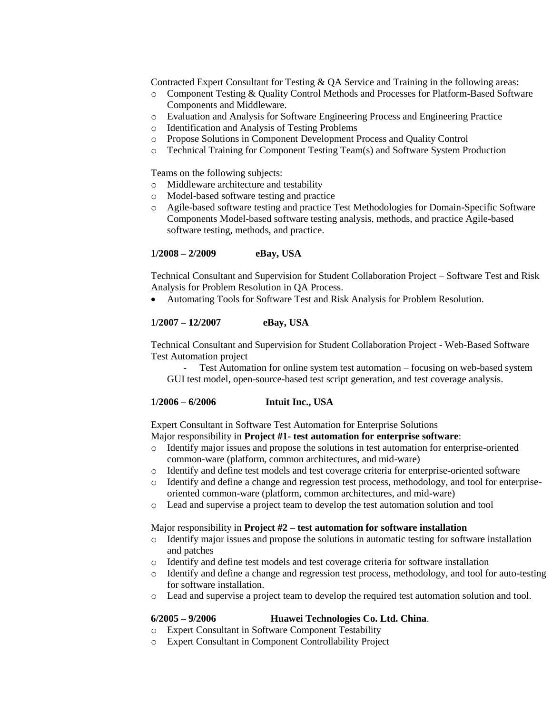Contracted Expert Consultant for Testing & QA Service and Training in the following areas:

- o Component Testing & Quality Control Methods and Processes for Platform-Based Software Components and Middleware.
- o Evaluation and Analysis for Software Engineering Process and Engineering Practice
- o Identification and Analysis of Testing Problems
- o Propose Solutions in Component Development Process and Quality Control
- o Technical Training for Component Testing Team(s) and Software System Production

Teams on the following subjects:

- o Middleware architecture and testability
- o Model-based software testing and practice
- o Agile-based software testing and practice Test Methodologies for Domain-Specific Software Components Model-based software testing analysis, methods, and practice Agile-based software testing, methods, and practice.

# **1/2008 – 2/2009 eBay, USA**

Technical Consultant and Supervision for Student Collaboration Project – Software Test and Risk Analysis for Problem Resolution in QA Process.

Automating Tools for Software Test and Risk Analysis for Problem Resolution.

# **1/2007 – 12/2007 eBay, USA**

Technical Consultant and Supervision for Student Collaboration Project - Web-Based Software Test Automation project

- Test Automation for online system test automation – focusing on web-based system GUI test model, open-source-based test script generation, and test coverage analysis.

# **1/2006 – 6/2006 Intuit Inc., USA**

Expert Consultant in Software Test Automation for Enterprise Solutions Major responsibility in **Project #1- test automation for enterprise software**:

- o Identify major issues and propose the solutions in test automation for enterprise-oriented common-ware (platform, common architectures, and mid-ware)
- o Identify and define test models and test coverage criteria for enterprise-oriented software
- o Identify and define a change and regression test process, methodology, and tool for enterpriseoriented common-ware (platform, common architectures, and mid-ware)
- o Lead and supervise a project team to develop the test automation solution and tool

# Major responsibility in **Project #2 – test automation for software installation**

- o Identify major issues and propose the solutions in automatic testing for software installation and patches
- o Identify and define test models and test coverage criteria for software installation
- o Identify and define a change and regression test process, methodology, and tool for auto-testing for software installation.
- o Lead and supervise a project team to develop the required test automation solution and tool.

# **6/2005 – 9/2006 Huawei Technologies Co. Ltd. China**.

- o Expert Consultant in Software Component Testability
- o Expert Consultant in Component Controllability Project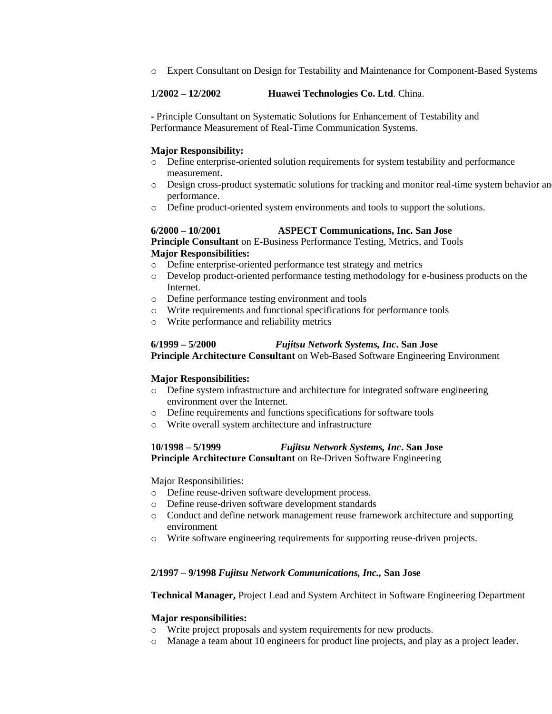o Expert Consultant on Design for Testability and Maintenance for Component-Based Systems

# **1/2002 – 12/2002 Huawei Technologies Co. Ltd**. China.

- Principle Consultant on Systematic Solutions for Enhancement of Testability and Performance Measurement of Real-Time Communication Systems.

# **Major Responsibility:**

- o Define enterprise-oriented solution requirements for system testability and performance measurement.
- o Design cross-product systematic solutions for tracking and monitor real-time system behavior and performance.
- o Define product-oriented system environments and tools to support the solutions.

# **6/2000 – 10/2001 ASPECT Communications, Inc. San Jose**

**Principle Consultant** on E-Business Performance Testing, Metrics, and Tools **Major Responsibilities:**

- o Define enterprise-oriented performance test strategy and metrics
- o Develop product-oriented performance testing methodology for e-business products on the Internet.
- o Define performance testing environment and tools
- o Write requirements and functional specifications for performance tools
- o Write performance and reliability metrics

# **6/1999 – 5/2000** *Fujitsu Network Systems, Inc***. San Jose**

**Principle Architecture Consultant** on Web-Based Software Engineering Environment

# **Major Responsibilities:**

- o Define system infrastructure and architecture for integrated software engineering environment over the Internet.
- o Define requirements and functions specifications for software tools
- o Write overall system architecture and infrastructure

# **10/1998 – 5/1999** *Fujitsu Network Systems, Inc***. San Jose**

**Principle Architecture Consultant** on Re-Driven Software Engineering

Major Responsibilities:

- o Define reuse-driven software development process.
- o Define reuse-driven software development standards
- o Conduct and define network management reuse framework architecture and supporting environment
- o Write software engineering requirements for supporting reuse-driven projects.

# **2/1997 – 9/1998** *Fujitsu Network Communications, Inc.,* **San Jose**

**Technical Manager,** Project Lead and System Architect in Software Engineering Department

# **Major responsibilities:**

- o Write project proposals and system requirements for new products.
- o Manage a team about 10 engineers for product line projects, and play as a project leader.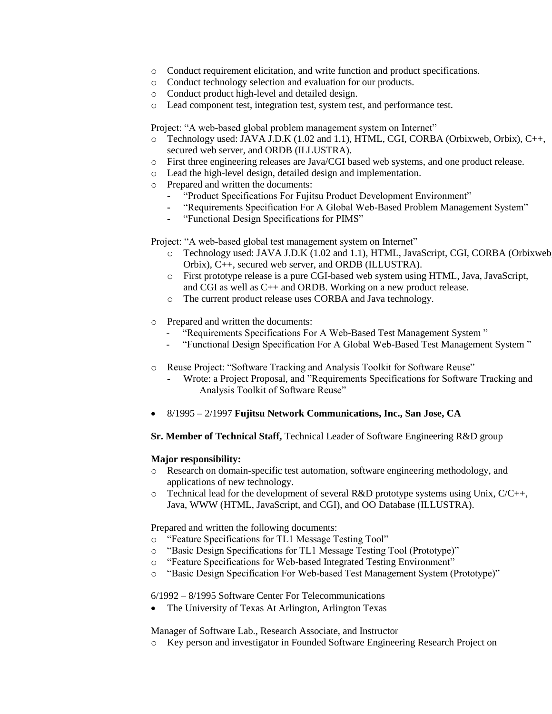- o Conduct requirement elicitation, and write function and product specifications.
- o Conduct technology selection and evaluation for our products.
- o Conduct product high-level and detailed design.
- o Lead component test, integration test, system test, and performance test.

Project: "A web-based global problem management system on Internet"

- o Technology used: JAVA J.D.K (1.02 and 1.1), HTML, CGI, CORBA (Orbixweb, Orbix), C++, secured web server, and ORDB (ILLUSTRA).
- o First three engineering releases are Java/CGI based web systems, and one product release.
- o Lead the high-level design, detailed design and implementation.
- o Prepared and written the documents:
	- **-** "Product Specifications For Fujitsu Product Development Environment"
	- **-** "Requirements Specification For A Global Web-Based Problem Management System"
	- **-** "Functional Design Specifications for PIMS"

Project: "A web-based global test management system on Internet"

- o Technology used: JAVA J.D.K (1.02 and 1.1), HTML, JavaScript, CGI, CORBA (Orbixweb, Orbix), C++, secured web server, and ORDB (ILLUSTRA).
- o First prototype release is a pure CGI-based web system using HTML, Java, JavaScript, and CGI as well as C++ and ORDB. Working on a new product release.
- o The current product release uses CORBA and Java technology.
- o Prepared and written the documents:
	- "Requirements Specifications For A Web-Based Test Management System"
	- "Functional Design Specification For A Global Web-Based Test Management System "
- o Reuse Project: "Software Tracking and Analysis Toolkit for Software Reuse"
	- **-** Wrote: a Project Proposal, and "Requirements Specifications for Software Tracking and Analysis Toolkit of Software Reuse"
- 8/1995 2/1997 **Fujitsu Network Communications, Inc., San Jose, CA**

**Sr. Member of Technical Staff,** Technical Leader of Software Engineering R&D group

# **Major responsibility:**

- o Research on domain-specific test automation, software engineering methodology, and applications of new technology.
- $\circ$  Technical lead for the development of several R&D prototype systems using Unix, C/C++, Java, WWW (HTML, JavaScript, and CGI), and OO Database (ILLUSTRA).

Prepared and written the following documents:

- o "Feature Specifications for TL1 Message Testing Tool"
- o "Basic Design Specifications for TL1 Message Testing Tool (Prototype)"
- o "Feature Specifications for Web-based Integrated Testing Environment"
- o "Basic Design Specification For Web-based Test Management System (Prototype)"

6/1992 – 8/1995 Software Center For Telecommunications

The University of Texas At Arlington, Arlington Texas

Manager of Software Lab., Research Associate, and Instructor

Key person and investigator in Founded Software Engineering Research Project on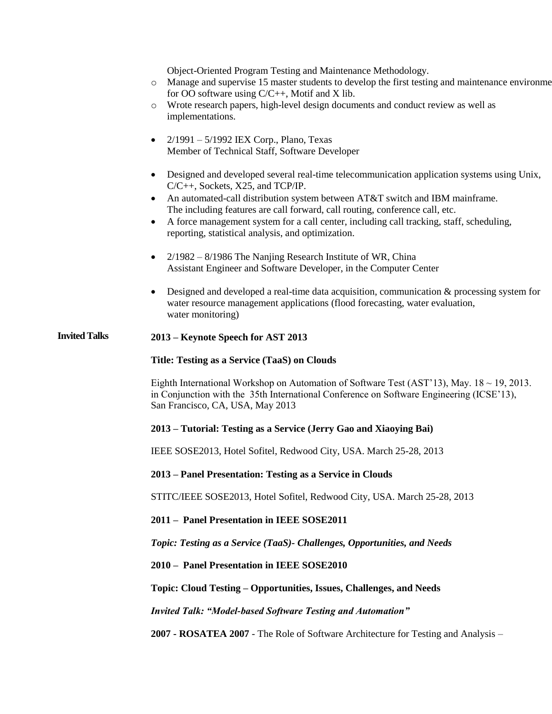Object-Oriented Program Testing and Maintenance Methodology.

- o Manage and supervise 15 master students to develop the first testing and maintenance environment for OO software using C/C++, Motif and X lib.
- o Wrote research papers, high-level design documents and conduct review as well as implementations.
- $2/1991 5/1992$  IEX Corp., Plano, Texas Member of Technical Staff, Software Developer
- Designed and developed several real-time telecommunication application systems using Unix, C/C++, Sockets, X25, and TCP/IP.
- An automated-call distribution system between AT&T switch and IBM mainframe. The including features are call forward, call routing, conference call, etc.
- A force management system for a call center, including call tracking, staff, scheduling, reporting, statistical analysis, and optimization.
- 2/1982 8/1986 The Nanjing Research Institute of WR, China Assistant Engineer and Software Developer, in the Computer Center
- Designed and developed a real-time data acquisition, communication & processing system for water resource management applications (flood forecasting, water evaluation, water monitoring)

# **Invited Talks 2013 – Keynote Speech for AST 2013**

# **Title: Testing as a Service (TaaS) on Clouds**

Eighth International Workshop on Automation of Software Test (AST'13), May. 18 ~ 19, 2013. in Conjunction with the 35th International Conference on Software Engineering (ICSE'13), San Francisco, CA, USA, May 2013

# **2013 – Tutorial: Testing as a Service (Jerry Gao and Xiaoying Bai)**

IEEE SOSE2013, Hotel Sofitel, Redwood City, USA. March 25-28, 2013

# **2013 – Panel Presentation: Testing as a Service in Clouds**

STITC/IEEE SOSE2013, Hotel Sofitel, Redwood City, USA. March 25-28, 2013

# **2011 – Panel Presentation in IEEE SOSE2011**

*Topic: Testing as a Service (TaaS)- Challenges, Opportunities, and Needs*

**2010 – Panel Presentation in IEEE SOSE2010**

**Topic: Cloud Testing – Opportunities, Issues, Challenges, and Needs**

*Invited Talk: "Model-based Software Testing and Automation"*

**2007 - ROSATEA 2007** - The Role of Software Architecture for Testing and Analysis –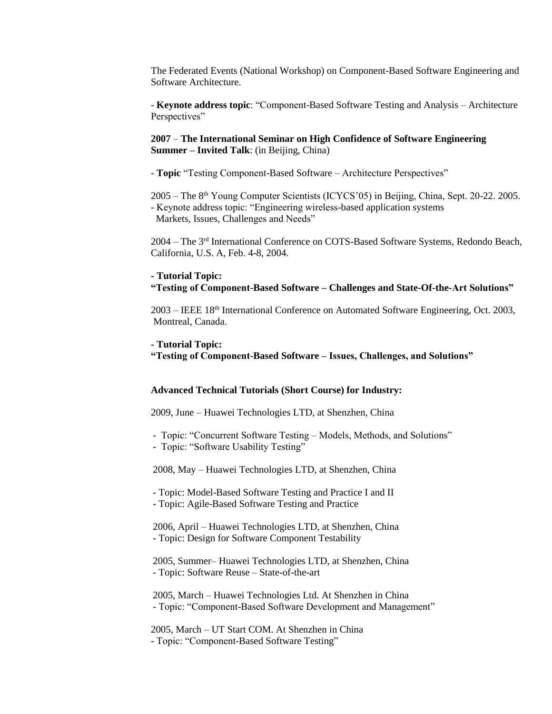The Federated Events (National Workshop) on Component-Based Software Engineering and Software Architecture.

- **Keynote address topic**: "Component-Based Software Testing and Analysis – Architecture Perspectives"

# **2007** – **The International Seminar on High Confidence of Software Engineering Summer – Invited Talk**: (in Beijing, China)

- **Topic** "Testing Component-Based Software – Architecture Perspectives"

2005 – The 8th Young Computer Scientists (ICYCS'05) in Beijing, China, Sept. 20-22. 2005. - Keynote address topic: "Engineering wireless-based application systems Markets, Issues, Challenges and Needs"

2004 – The 3rd International Conference on COTS-Based Software Systems, Redondo Beach, California, U.S. A, Feb. 4-8, 2004.

#### **- Tutorial Topic:**

# **"Testing of Component-Based Software – Challenges and State-Of-the-Art Solutions"**

2003 – IEEE 18th International Conference on Automated Software Engineering, Oct. 2003, Montreal, Canada.

#### **- Tutorial Topic:**

**"Testing of Component-Based Software – Issues, Challenges, and Solutions"** 

#### **Advanced Technical Tutorials (Short Course) for Industry:**

2009, June – Huawei Technologies LTD, at Shenzhen, China

- Topic: "Concurrent Software Testing – Models, Methods, and Solutions"

- Topic: "Software Usability Testing"

2008, May – Huawei Technologies LTD, at Shenzhen, China

- Topic: Model-Based Software Testing and Practice I and II

- Topic: Agile-Based Software Testing and Practice

2006, April – Huawei Technologies LTD, at Shenzhen, China - Topic: Design for Software Component Testability

2005, Summer– Huawei Technologies LTD, at Shenzhen, China - Topic: Software Reuse – State-of-the-art

2005, March – Huawei Technologies Ltd. At Shenzhen in China - Topic: "Component-Based Software Development and Management"

2005, March – UT Start COM. At Shenzhen in China - Topic: "Component-Based Software Testing"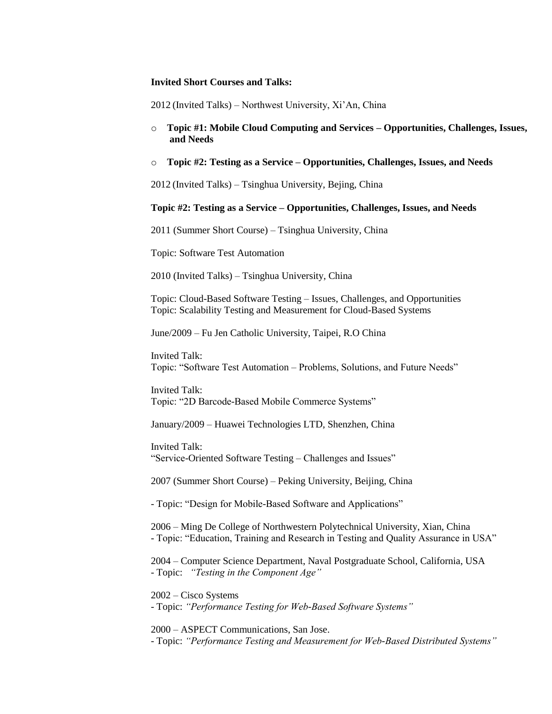#### **Invited Short Courses and Talks:**

2012 (Invited Talks) – Northwest University, Xi'An, China

- o **Topic #1: Mobile Cloud Computing and Services – Opportunities, Challenges, Issues, and Needs**
- o **Topic #2: Testing as a Service – Opportunities, Challenges, Issues, and Needs**

2012 (Invited Talks) – Tsinghua University, Bejing, China

# o **Topic #2: Testing as a Service – Opportunities, Challenges, Issues, and Needs**

2011 (Summer Short Course) – Tsinghua University, China

Topic: Software Test Automation

2010 (Invited Talks) – Tsinghua University, China

Topic: Cloud-Based Software Testing - Issues, Challenges, and Opportunities Topic: Scalability Testing and Measurement for Cloud-Based Systems

June/2009 – Fu Jen Catholic University, Taipei, R.O China

Invited Talk: Topic: "Software Test Automation – Problems, Solutions, and Future Needs"

Invited Talk: Topic: "2D Barcode-Based Mobile Commerce Systems"

January/2009 – Huawei Technologies LTD, Shenzhen, China

Invited Talk: "Service-Oriented Software Testing – Challenges and Issues"

2007 (Summer Short Course) – Peking University, Beijing, China

- Topic: "Design for Mobile-Based Software and Applications"

2006 – Ming De College of Northwestern Polytechnical University, Xian, China - Topic: "Education, Training and Research in Testing and Quality Assurance in USA"

2004 – Computer Science Department, Naval Postgraduate School, California, USA - Topic: *"Testing in the Component Age"*

2002 – Cisco Systems - Topic: *"Performance Testing for Web-Based Software Systems"*

2000 – ASPECT Communications, San Jose. - Topic: *"Performance Testing and Measurement for Web-Based Distributed Systems"*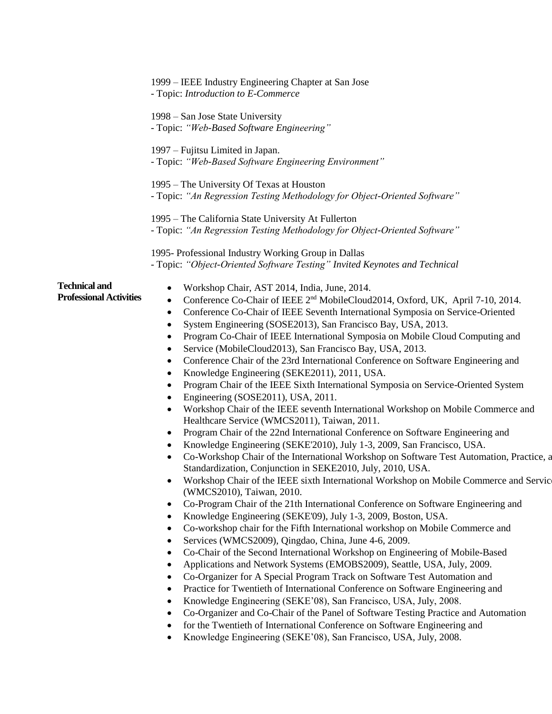|                                                        | 1999 – IEEE Industry Engineering Chapter at San Jose<br>- Topic: Introduction to E-Commerce                                                                                                                                                                                                                                                                                                                                                                                                                                                                                                                                                                                                                                                                                                                                                                                                                                                                                                                                                                                                                                                                                                                                                                                                                                                                                                                                                                                                                                                                                                                                                                                                                                                                                                                                                                                                                                                                                                                                                                                                                                                                                                                                                                                                                                                                                                                                                                                                    |
|--------------------------------------------------------|------------------------------------------------------------------------------------------------------------------------------------------------------------------------------------------------------------------------------------------------------------------------------------------------------------------------------------------------------------------------------------------------------------------------------------------------------------------------------------------------------------------------------------------------------------------------------------------------------------------------------------------------------------------------------------------------------------------------------------------------------------------------------------------------------------------------------------------------------------------------------------------------------------------------------------------------------------------------------------------------------------------------------------------------------------------------------------------------------------------------------------------------------------------------------------------------------------------------------------------------------------------------------------------------------------------------------------------------------------------------------------------------------------------------------------------------------------------------------------------------------------------------------------------------------------------------------------------------------------------------------------------------------------------------------------------------------------------------------------------------------------------------------------------------------------------------------------------------------------------------------------------------------------------------------------------------------------------------------------------------------------------------------------------------------------------------------------------------------------------------------------------------------------------------------------------------------------------------------------------------------------------------------------------------------------------------------------------------------------------------------------------------------------------------------------------------------------------------------------------------|
|                                                        | 1998 – San Jose State University<br>- Topic: "Web-Based Software Engineering"                                                                                                                                                                                                                                                                                                                                                                                                                                                                                                                                                                                                                                                                                                                                                                                                                                                                                                                                                                                                                                                                                                                                                                                                                                                                                                                                                                                                                                                                                                                                                                                                                                                                                                                                                                                                                                                                                                                                                                                                                                                                                                                                                                                                                                                                                                                                                                                                                  |
|                                                        | 1997 – Fujitsu Limited in Japan.<br>- Topic: "Web-Based Software Engineering Environment"                                                                                                                                                                                                                                                                                                                                                                                                                                                                                                                                                                                                                                                                                                                                                                                                                                                                                                                                                                                                                                                                                                                                                                                                                                                                                                                                                                                                                                                                                                                                                                                                                                                                                                                                                                                                                                                                                                                                                                                                                                                                                                                                                                                                                                                                                                                                                                                                      |
|                                                        | 1995 – The University Of Texas at Houston<br>- Topic: "An Regression Testing Methodology for Object-Oriented Software"                                                                                                                                                                                                                                                                                                                                                                                                                                                                                                                                                                                                                                                                                                                                                                                                                                                                                                                                                                                                                                                                                                                                                                                                                                                                                                                                                                                                                                                                                                                                                                                                                                                                                                                                                                                                                                                                                                                                                                                                                                                                                                                                                                                                                                                                                                                                                                         |
|                                                        | 1995 – The California State University At Fullerton<br>- Topic: "An Regression Testing Methodology for Object-Oriented Software"                                                                                                                                                                                                                                                                                                                                                                                                                                                                                                                                                                                                                                                                                                                                                                                                                                                                                                                                                                                                                                                                                                                                                                                                                                                                                                                                                                                                                                                                                                                                                                                                                                                                                                                                                                                                                                                                                                                                                                                                                                                                                                                                                                                                                                                                                                                                                               |
|                                                        | 1995- Professional Industry Working Group in Dallas<br>- Topic: "Object-Oriented Software Testing" Invited Keynotes and Technical                                                                                                                                                                                                                                                                                                                                                                                                                                                                                                                                                                                                                                                                                                                                                                                                                                                                                                                                                                                                                                                                                                                                                                                                                                                                                                                                                                                                                                                                                                                                                                                                                                                                                                                                                                                                                                                                                                                                                                                                                                                                                                                                                                                                                                                                                                                                                              |
| <b>Technical and</b><br><b>Professional Activities</b> | Workshop Chair, AST 2014, India, June, 2014.<br>$\bullet$<br>Conference Co-Chair of IEEE 2 <sup>nd</sup> MobileCloud2014, Oxford, UK, April 7-10, 2014.<br>$\bullet$<br>Conference Co-Chair of IEEE Seventh International Symposia on Service-Oriented<br>$\bullet$<br>System Engineering (SOSE2013), San Francisco Bay, USA, 2013.<br>$\bullet$<br>Program Co-Chair of IEEE International Symposia on Mobile Cloud Computing and<br>٠<br>Service (MobileCloud2013), San Francisco Bay, USA, 2013.<br>$\bullet$<br>Conference Chair of the 23rd International Conference on Software Engineering and<br>$\bullet$<br>Knowledge Engineering (SEKE2011), 2011, USA.<br>$\bullet$<br>Program Chair of the IEEE Sixth International Symposia on Service-Oriented System<br>Engineering (SOSE2011), USA, 2011.<br>$\bullet$<br>Workshop Chair of the IEEE seventh International Workshop on Mobile Commerce and<br>$\bullet$<br>Healthcare Service (WMCS2011), Taiwan, 2011.<br>Program Chair of the 22nd International Conference on Software Engineering and<br>$\bullet$<br>Knowledge Engineering (SEKE'2010), July 1-3, 2009, San Francisco, USA.<br>$\bullet$<br>Co-Workshop Chair of the International Workshop on Software Test Automation, Practice, a<br>$\bullet$<br>Standardization, Conjunction in SEKE2010, July, 2010, USA.<br>Workshop Chair of the IEEE sixth International Workshop on Mobile Commerce and Servic<br>$\bullet$<br>(WMCS2010), Taiwan, 2010.<br>Co-Program Chair of the 21th International Conference on Software Engineering and<br>٠<br>Knowledge Engineering (SEKE'09), July 1-3, 2009, Boston, USA.<br>$\bullet$<br>Co-workshop chair for the Fifth International workshop on Mobile Commerce and<br>٠<br>Services (WMCS2009), Qingdao, China, June 4-6, 2009.<br>٠<br>Co-Chair of the Second International Workshop on Engineering of Mobile-Based<br>$\bullet$<br>Applications and Network Systems (EMOBS2009), Seattle, USA, July, 2009.<br>٠<br>Co-Organizer for A Special Program Track on Software Test Automation and<br>$\bullet$<br>Practice for Twentieth of International Conference on Software Engineering and<br>٠<br>Knowledge Engineering (SEKE'08), San Francisco, USA, July, 2008.<br>٠<br>Co-Organizer and Co-Chair of the Panel of Software Testing Practice and Automation<br>٠<br>for the Twentieth of International Conference on Software Engineering and<br>٠<br>Knowledge Engineering (SEKE'08), San Francisco, USA, July, 2008.<br>٠ |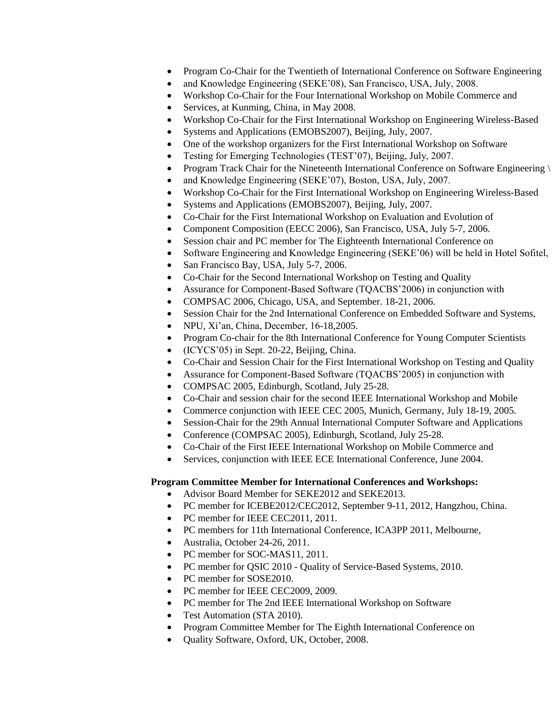- Program Co-Chair for the Twentieth of International Conference on Software Engineering
- and Knowledge Engineering (SEKE'08), San Francisco, USA, July, 2008.
- Workshop Co-Chair for the Four International Workshop on Mobile Commerce and
- Services, at Kunming, China, in May 2008.
- Workshop Co-Chair for the First International Workshop on Engineering Wireless-Based
- Systems and Applications (EMOBS2007), Beijing, July, 2007.
- One of the workshop organizers for the First International Workshop on Software
- Testing for Emerging Technologies (TEST'07), Beijing, July, 2007.
- Program Track Chair for the Nineteenth International Conference on Software Engineering
- and Knowledge Engineering (SEKE'07), Boston, USA, July, 2007.
- Workshop Co-Chair for the First International Workshop on Engineering Wireless-Based
- Systems and Applications (EMOBS2007), Beijing, July, 2007.
- Co-Chair for the First International Workshop on Evaluation and Evolution of
- Component Composition (EECC 2006), San Francisco, USA, July 5-7, 2006.
- Session chair and PC member for The Eighteenth International Conference on
- Software Engineering and Knowledge Engineering (SEKE'06) will be held in Hotel Sofitel,
- San Francisco Bay, USA, July 5-7, 2006.
- Co-Chair for the Second International Workshop on Testing and Quality
- Assurance for Component-Based Software (TQACBS'2006) in conjunction with
- COMPSAC 2006, Chicago, USA, and September. 18-21, 2006.
- Session Chair for the 2nd International Conference on Embedded Software and Systems,
- NPU, Xi'an, China, December, 16-18,2005.
- Program Co-chair for the 8th International Conference for Young Computer Scientists
- (ICYCS'05) in Sept. 20-22, Beijing, China.
- Co-Chair and Session Chair for the First International Workshop on Testing and Quality
- Assurance for Component-Based Software (TQACBS'2005) in conjunction with
- COMPSAC 2005, Edinburgh, Scotland, July 25-28.
- Co-Chair and session chair for the second IEEE International Workshop and Mobile
- Commerce conjunction with IEEE CEC 2005, Munich, Germany, July 18-19, 2005.
- Session-Chair for the 29th Annual International Computer Software and Applications
- Conference (COMPSAC 2005), Edinburgh, Scotland, July 25-28.
- Co-Chair of the First IEEE International Workshop on Mobile Commerce and
- Services, conjunction with IEEE ECE International Conference, June 2004.

# **Program Committee Member for International Conferences and Workshops:**

- Advisor Board Member for SEKE2012 and SEKE2013.
- PC member for ICEBE2012/CEC2012, September 9-11, 2012, Hangzhou, China.
- PC member for IEEE CEC2011, 2011.
- PC members for 11th International Conference, ICA3PP 2011, Melbourne,
- Australia, October 24-26, 2011.
- PC member for SOC-MAS11, 2011.
- PC member for QSIC 2010 Quality of Service-Based Systems, 2010.
- PC member for SOSE2010.
- PC member for IEEE CEC2009, 2009.
- PC member for The 2nd IEEE International Workshop on Software
- Test Automation (STA 2010).
- Program Committee Member for The Eighth International Conference on
- Quality Software, Oxford, UK, October, 2008.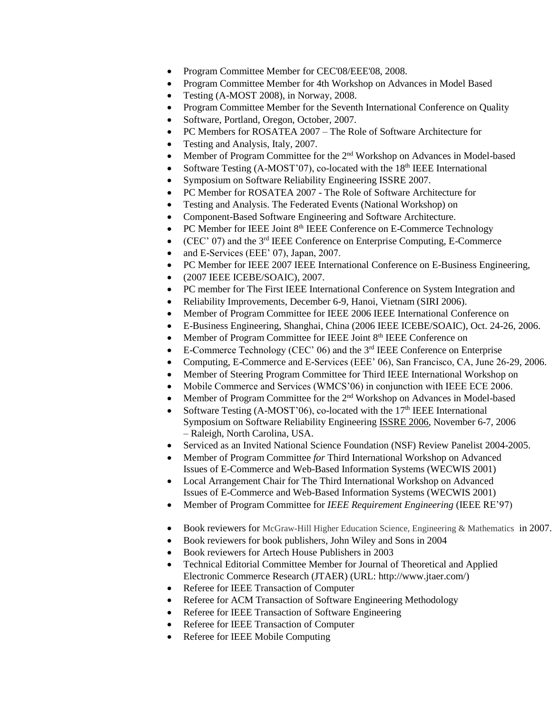- Program Committee Member for CEC'08/EEE'08, 2008.
- Program Committee Member for 4th Workshop on Advances in Model Based
- Testing (A-MOST 2008), in Norway, 2008.
- Program Committee Member for the Seventh International Conference on Quality
- Software, Portland, Oregon, October, 2007.
- PC Members for ROSATEA 2007 The Role of Software Architecture for
- Testing and Analysis, Italy, 2007.
- Member of Program Committee for the 2<sup>nd</sup> Workshop on Advances in Model-based
- Software Testing (A-MOST'07), co-located with the  $18<sup>th</sup> IEEE$  International
- Symposium on Software Reliability Engineering ISSRE 2007.
- PC Member for ROSATEA 2007 The Role of Software Architecture for
- Testing and Analysis. The Federated Events (National Workshop) on
- Component-Based Software Engineering and Software Architecture.
- PC Member for IEEE Joint 8<sup>th</sup> IEEE Conference on E-Commerce Technology
- (CEC' 07) and the 3<sup>rd</sup> IEEE Conference on Enterprise Computing, E-Commerce
- and E-Services (EEE' 07), Japan, 2007.
- PC Member for IEEE 2007 IEEE International Conference on E-Business Engineering,
- (2007 IEEE ICEBE/SOAIC), 2007.
- PC member for The First IEEE International Conference on System Integration and
- Reliability Improvements, December 6-9, Hanoi, Vietnam (SIRI 2006).
- Member of Program Committee for IEEE 2006 IEEE International Conference on
- E-Business Engineering, Shanghai, China (2006 IEEE ICEBE/SOAIC), Oct. 24-26, 2006.
- Member of Program Committee for IEEE Joint 8<sup>th</sup> IEEE Conference on
- $\bullet$  E-Commerce Technology (CEC' 06) and the  $3<sup>rd</sup>$  IEEE Conference on Enterprise
- Computing, E-Commerce and E-Services (EEE' 06), San Francisco, CA, June 26-29, 2006.
- Member of Steering Program Committee for Third IEEE International Workshop on
- Mobile Commerce and Services (WMCS'06) in conjunction with IEEE ECE 2006.
- Member of Program Committee for the 2nd Workshop on Advances in Model-based
- Software Testing (A-MOST'06), co-located with the 17<sup>th</sup> IEEE International Symposium on Software Reliability Engineerin[g ISSRE 2006,](http://www.csc2.ncsu.edu/conferences/issre/index.php) November 6-7, 2006 – Raleigh, North Carolina, USA.
- Serviced as an Invited National Science Foundation (NSF) Review Panelist 2004-2005.
- Member of Program Committee *for* Third International Workshop on Advanced Issues of E-Commerce and Web-Based Information Systems (WECWIS 2001)
- Local Arrangement Chair for The Third International Workshop on Advanced Issues of E-Commerce and Web-Based Information Systems (WECWIS 2001)
- Member of Program Committee for *IEEE Requirement Engineering* (IEEE RE'97)
- Book reviewers for McGraw-Hill Higher Education Science, Engineering & Mathematics in 2007.
- Book reviewers for book publishers, John Wiley and Sons in 2004
- Book reviewers for Artech House Publishers in 2003
- Technical Editorial Committee Member for Journal of Theoretical and Applied Electronic Commerce Research (JTAER) (URL: http://www.jtaer.com/)
- Referee for IEEE Transaction of Computer
- Referee for ACM Transaction of Software Engineering Methodology
- Referee for IEEE Transaction of Software Engineering
- Referee for IEEE Transaction of Computer
- Referee for IEEE Mobile Computing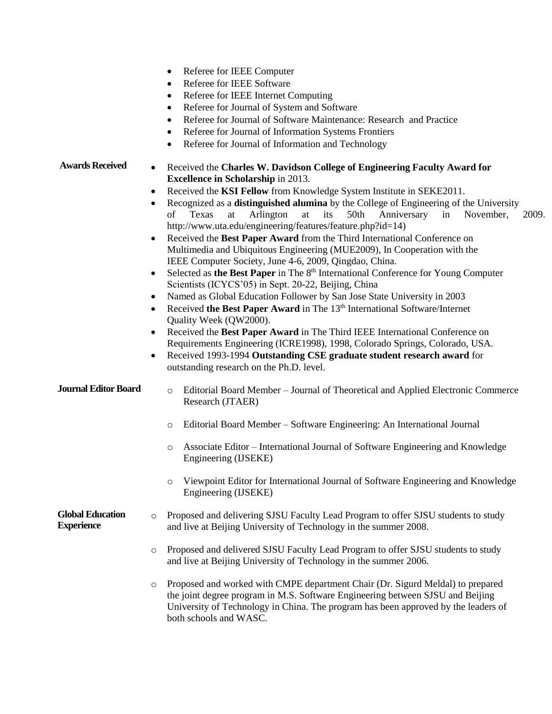|                                              | Referee for IEEE Computer<br>$\bullet$<br>Referee for IEEE Software<br>$\bullet$<br>Referee for IEEE Internet Computing<br>$\bullet$<br>Referee for Journal of System and Software<br>$\bullet$<br>Referee for Journal of Software Maintenance: Research and Practice<br>$\bullet$<br>Referee for Journal of Information Systems Frontiers<br>$\bullet$<br>Referee for Journal of Information and Technology<br>$\bullet$                                                                                                                                                                                                                                                                                                                                                                                                                                                                                                                                                                                                                                                                                                                                                                                                                                                                                                                                  |
|----------------------------------------------|------------------------------------------------------------------------------------------------------------------------------------------------------------------------------------------------------------------------------------------------------------------------------------------------------------------------------------------------------------------------------------------------------------------------------------------------------------------------------------------------------------------------------------------------------------------------------------------------------------------------------------------------------------------------------------------------------------------------------------------------------------------------------------------------------------------------------------------------------------------------------------------------------------------------------------------------------------------------------------------------------------------------------------------------------------------------------------------------------------------------------------------------------------------------------------------------------------------------------------------------------------------------------------------------------------------------------------------------------------|
| <b>Awards Received</b>                       | Received the Charles W. Davidson College of Engineering Faculty Award for<br><b>Excellence in Scholarship in 2013.</b><br>Received the KSI Fellow from Knowledge System Institute in SEKE2011.<br>$\bullet$<br>Recognized as a <b>distinguished alumina</b> by the College of Engineering of the University<br>Arlington<br>its<br>50th<br>of<br>Texas<br>at<br>at<br>Anniversary<br>in<br>November,<br>2009.<br>http://www.uta.edu/engineering/features/feature.php?id=14)<br>Received the Best Paper Award from the Third International Conference on<br>Multimedia and Ubiquitous Engineering (MUE2009), In Cooperation with the<br>IEEE Computer Society, June 4-6, 2009, Qingdao, China.<br>Selected as the Best Paper in The 8 <sup>th</sup> International Conference for Young Computer<br>Scientists (ICYCS'05) in Sept. 20-22, Beijing, China<br>Named as Global Education Follower by San Jose State University in 2003<br>٠<br>Received the Best Paper Award in The 13 <sup>th</sup> International Software/Internet<br>$\bullet$<br>Quality Week (QW2000).<br>Received the Best Paper Award in The Third IEEE International Conference on<br>Requirements Engineering (ICRE1998), 1998, Colorado Springs, Colorado, USA.<br>Received 1993-1994 Outstanding CSE graduate student research award for<br>outstanding research on the Ph.D. level. |
| <b>Journal Editor Board</b>                  | Editorial Board Member - Journal of Theoretical and Applied Electronic Commerce<br>$\circ$<br>Research (JTAER)<br>Editorial Board Member – Software Engineering: An International Journal<br>$\circ$                                                                                                                                                                                                                                                                                                                                                                                                                                                                                                                                                                                                                                                                                                                                                                                                                                                                                                                                                                                                                                                                                                                                                       |
|                                              | Associate Editor - International Journal of Software Engineering and Knowledge<br>$\circ$<br>Engineering (IJSEKE)<br>Viewpoint Editor for International Journal of Software Engineering and Knowledge<br>$\circ$<br>Engineering (IJSEKE)                                                                                                                                                                                                                                                                                                                                                                                                                                                                                                                                                                                                                                                                                                                                                                                                                                                                                                                                                                                                                                                                                                                   |
| <b>Global Education</b><br><b>Experience</b> | Proposed and delivering SJSU Faculty Lead Program to offer SJSU students to study<br>$\circ$<br>and live at Beijing University of Technology in the summer 2008.                                                                                                                                                                                                                                                                                                                                                                                                                                                                                                                                                                                                                                                                                                                                                                                                                                                                                                                                                                                                                                                                                                                                                                                           |
|                                              | Proposed and delivered SJSU Faculty Lead Program to offer SJSU students to study<br>$\circ$<br>and live at Beijing University of Technology in the summer 2006.                                                                                                                                                                                                                                                                                                                                                                                                                                                                                                                                                                                                                                                                                                                                                                                                                                                                                                                                                                                                                                                                                                                                                                                            |
|                                              | Proposed and worked with CMPE department Chair (Dr. Sigurd Meldal) to prepared<br>O<br>the joint degree program in M.S. Software Engineering between SJSU and Beijing<br>University of Technology in China. The program has been approved by the leaders of<br>both schools and WASC.                                                                                                                                                                                                                                                                                                                                                                                                                                                                                                                                                                                                                                                                                                                                                                                                                                                                                                                                                                                                                                                                      |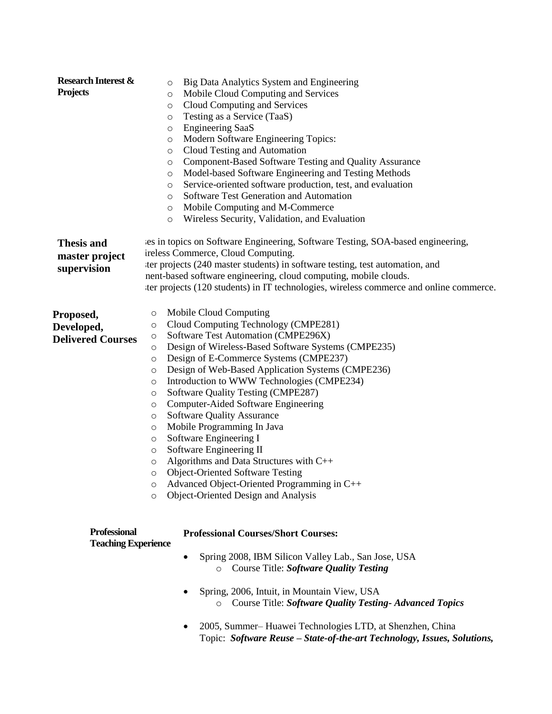| <b>Research Interest &amp;</b><br><b>Projects</b> | Big Data Analytics System and Engineering<br>O<br>Mobile Cloud Computing and Services<br>O<br>Cloud Computing and Services<br>$\circ$    |  |  |  |
|---------------------------------------------------|------------------------------------------------------------------------------------------------------------------------------------------|--|--|--|
|                                                   | Testing as a Service (TaaS)<br>$\circ$                                                                                                   |  |  |  |
|                                                   | <b>Engineering SaaS</b><br>$\circ$                                                                                                       |  |  |  |
|                                                   | Modern Software Engineering Topics:<br>$\circ$                                                                                           |  |  |  |
|                                                   | Cloud Testing and Automation<br>$\circ$                                                                                                  |  |  |  |
|                                                   | Component-Based Software Testing and Quality Assurance<br>$\circ$                                                                        |  |  |  |
|                                                   | Model-based Software Engineering and Testing Methods<br>O                                                                                |  |  |  |
|                                                   | Service-oriented software production, test, and evaluation<br>O                                                                          |  |  |  |
|                                                   | Software Test Generation and Automation<br>O                                                                                             |  |  |  |
|                                                   | Mobile Computing and M-Commerce<br>O                                                                                                     |  |  |  |
|                                                   | Wireless Security, Validation, and Evaluation<br>$\circ$                                                                                 |  |  |  |
| <b>Thesis and</b><br>master project               | les in topics on Software Engineering, Software Testing, SOA-based engineering,<br>ireless Commerce, Cloud Computing.                    |  |  |  |
| supervision                                       | ter projects (240 master students) in software testing, test automation, and                                                             |  |  |  |
|                                                   | nent-based software engineering, cloud computing, mobile clouds.                                                                         |  |  |  |
|                                                   | ter projects (120 students) in IT technologies, wireless commerce and online commerce.                                                   |  |  |  |
|                                                   |                                                                                                                                          |  |  |  |
| Proposed,                                         | Mobile Cloud Computing<br>O<br>Cloud Computing Technology (CMPE281)<br>O                                                                 |  |  |  |
| Developed,                                        | Software Test Automation (CMPE296X)<br>$\circ$                                                                                           |  |  |  |
| <b>Delivered Courses</b>                          | Design of Wireless-Based Software Systems (CMPE235)<br>O                                                                                 |  |  |  |
|                                                   | Design of E-Commerce Systems (CMPE237)<br>O                                                                                              |  |  |  |
|                                                   | Design of Web-Based Application Systems (CMPE236)<br>O                                                                                   |  |  |  |
|                                                   | Introduction to WWW Technologies (CMPE234)<br>O                                                                                          |  |  |  |
|                                                   | Software Quality Testing (CMPE287)<br>O                                                                                                  |  |  |  |
|                                                   | Computer-Aided Software Engineering<br>O                                                                                                 |  |  |  |
|                                                   | <b>Software Quality Assurance</b><br>$\circ$                                                                                             |  |  |  |
|                                                   | Mobile Programming In Java<br>O                                                                                                          |  |  |  |
|                                                   | Software Engineering I<br>O                                                                                                              |  |  |  |
|                                                   | Software Engineering II<br>O                                                                                                             |  |  |  |
|                                                   | Algorithms and Data Structures with C++<br>O                                                                                             |  |  |  |
|                                                   | <b>Object-Oriented Software Testing</b><br>$\circ$                                                                                       |  |  |  |
|                                                   | Advanced Object-Oriented Programming in C++<br>O                                                                                         |  |  |  |
|                                                   | Object-Oriented Design and Analysis<br>$\circ$                                                                                           |  |  |  |
|                                                   |                                                                                                                                          |  |  |  |
| <b>Professional</b><br><b>Teaching Experience</b> | <b>Professional Courses/Short Courses:</b>                                                                                               |  |  |  |
|                                                   | Spring 2008, IBM Silicon Valley Lab., San Jose, USA<br>Course Title: Software Quality Testing<br>$\circ$                                 |  |  |  |
|                                                   | Spring, 2006, Intuit, in Mountain View, USA<br>Course Title: Software Quality Testing-Advanced Topics<br>$\circ$                         |  |  |  |
|                                                   | 2005, Summer-Huawei Technologies LTD, at Shenzhen, China<br>٠<br>Topic: Software Reuse - State-of-the-art Technology, Issues, Solutions, |  |  |  |
|                                                   |                                                                                                                                          |  |  |  |